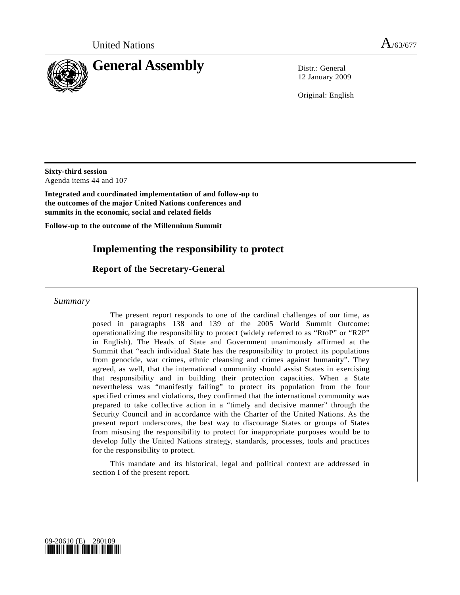

12 January 2009

Original: English

**Sixty-third session**  Agenda items 44 and 107

**Integrated and coordinated implementation of and follow-up to the outcomes of the major United Nations conferences and summits in the economic, social and related fields** 

**Follow-up to the outcome of the Millennium Summit** 

# **Implementing the responsibility to protect**

## **Report of the Secretary-General**

#### *Summary*

 The present report responds to one of the cardinal challenges of our time, as posed in paragraphs 138 and 139 of the 2005 World Summit Outcome: operationalizing the responsibility to protect (widely referred to as "RtoP" or "R2P" in English). The Heads of State and Government unanimously affirmed at the Summit that "each individual State has the responsibility to protect its populations from genocide, war crimes, ethnic cleansing and crimes against humanity". They agreed, as well, that the international community should assist States in exercising that responsibility and in building their protection capacities. When a State nevertheless was "manifestly failing" to protect its population from the four specified crimes and violations, they confirmed that the international community was prepared to take collective action in a "timely and decisive manner" through the Security Council and in accordance with the Charter of the United Nations. As the present report underscores, the best way to discourage States or groups of States from misusing the responsibility to protect for inappropriate purposes would be to develop fully the United Nations strategy, standards, processes, tools and practices for the responsibility to protect.

 This mandate and its historical, legal and political context are addressed in section I of the present report.

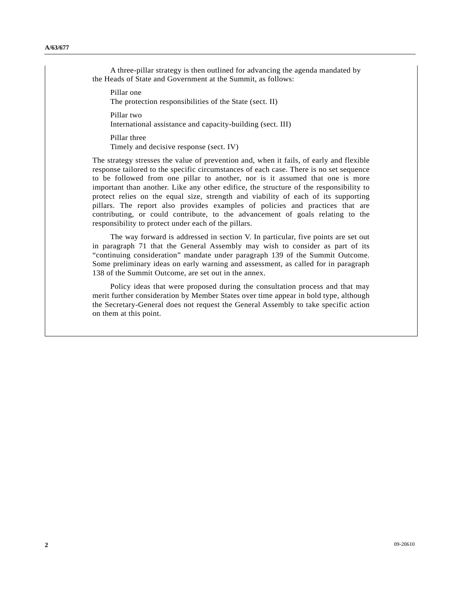A three-pillar strategy is then outlined for advancing the agenda mandated by the Heads of State and Government at the Summit, as follows: Pillar one

The protection responsibilities of the State (sect. II)

 Pillar two International assistance and capacity-building (sect. III)

 Pillar three Timely and decisive response (sect. IV)

The strategy stresses the value of prevention and, when it fails, of early and flexible response tailored to the specific circumstances of each case. There is no set sequence to be followed from one pillar to another, nor is it assumed that one is more important than another. Like any other edifice, the structure of the responsibility to protect relies on the equal size, strength and viability of each of its supporting pillars. The report also provides examples of policies and practices that are contributing, or could contribute, to the advancement of goals relating to the responsibility to protect under each of the pillars.

 The way forward is addressed in section V. In particular, five points are set out in paragraph 71 that the General Assembly may wish to consider as part of its "continuing consideration" mandate under paragraph 139 of the Summit Outcome. Some preliminary ideas on early warning and assessment, as called for in paragraph 138 of the Summit Outcome, are set out in the annex.

 Policy ideas that were proposed during the consultation process and that may merit further consideration by Member States over time appear in bold type, although the Secretary-General does not request the General Assembly to take specific action on them at this point.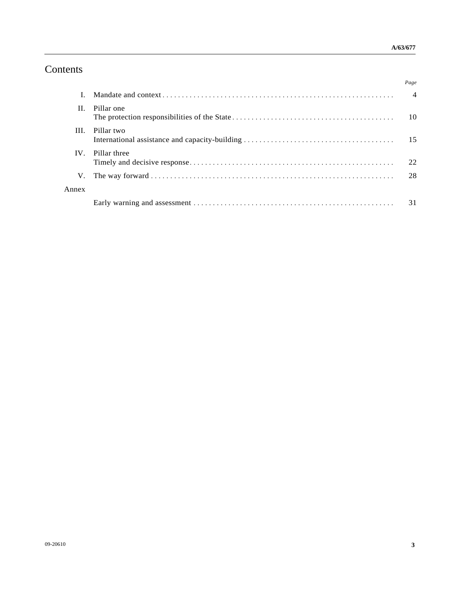# Contents

|       |                  | Page            |
|-------|------------------|-----------------|
|       |                  | $\overline{4}$  |
| H.    | Pillar one       | $\overline{10}$ |
| III.  | Pillar two       |                 |
|       | IV. Pillar three | 22              |
| V.    |                  | 28              |
| Annex |                  |                 |
|       |                  | 31              |
|       |                  |                 |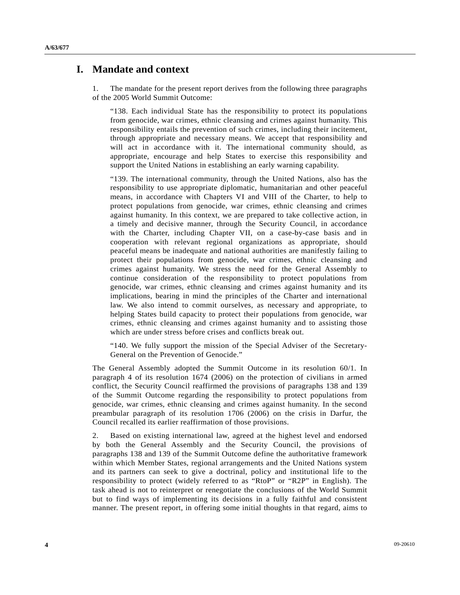## **I. Mandate and context**

1. The mandate for the present report derives from the following three paragraphs of the 2005 World Summit Outcome:

 "138. Each individual State has the responsibility to protect its populations from genocide, war crimes, ethnic cleansing and crimes against humanity. This responsibility entails the prevention of such crimes, including their incitement, through appropriate and necessary means. We accept that responsibility and will act in accordance with it. The international community should, as appropriate, encourage and help States to exercise this responsibility and support the United Nations in establishing an early warning capability.

 "139. The international community, through the United Nations, also has the responsibility to use appropriate diplomatic, humanitarian and other peaceful means, in accordance with Chapters VI and VIII of the Charter, to help to protect populations from genocide, war crimes, ethnic cleansing and crimes against humanity. In this context, we are prepared to take collective action, in a timely and decisive manner, through the Security Council, in accordance with the Charter, including Chapter VII, on a case-by-case basis and in cooperation with relevant regional organizations as appropriate, should peaceful means be inadequate and national authorities are manifestly failing to protect their populations from genocide, war crimes, ethnic cleansing and crimes against humanity. We stress the need for the General Assembly to continue consideration of the responsibility to protect populations from genocide, war crimes, ethnic cleansing and crimes against humanity and its implications, bearing in mind the principles of the Charter and international law. We also intend to commit ourselves, as necessary and appropriate, to helping States build capacity to protect their populations from genocide, war crimes, ethnic cleansing and crimes against humanity and to assisting those which are under stress before crises and conflicts break out.

 "140. We fully support the mission of the Special Adviser of the Secretary-General on the Prevention of Genocide."

The General Assembly adopted the Summit Outcome in its resolution 60/1. In paragraph 4 of its resolution 1674 (2006) on the protection of civilians in armed conflict, the Security Council reaffirmed the provisions of paragraphs 138 and 139 of the Summit Outcome regarding the responsibility to protect populations from genocide, war crimes, ethnic cleansing and crimes against humanity. In the second preambular paragraph of its resolution 1706 (2006) on the crisis in Darfur, the Council recalled its earlier reaffirmation of those provisions.

2. Based on existing international law, agreed at the highest level and endorsed by both the General Assembly and the Security Council, the provisions of paragraphs 138 and 139 of the Summit Outcome define the authoritative framework within which Member States, regional arrangements and the United Nations system and its partners can seek to give a doctrinal, policy and institutional life to the responsibility to protect (widely referred to as "RtoP" or "R2P" in English). The task ahead is not to reinterpret or renegotiate the conclusions of the World Summit but to find ways of implementing its decisions in a fully faithful and consistent manner. The present report, in offering some initial thoughts in that regard, aims to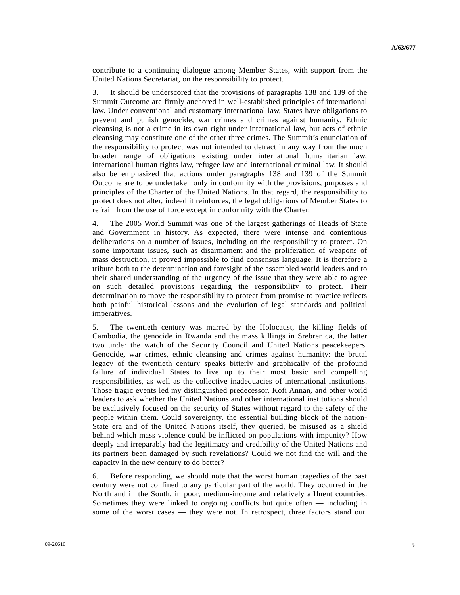contribute to a continuing dialogue among Member States, with support from the United Nations Secretariat, on the responsibility to protect.

3. It should be underscored that the provisions of paragraphs 138 and 139 of the Summit Outcome are firmly anchored in well-established principles of international law. Under conventional and customary international law, States have obligations to prevent and punish genocide, war crimes and crimes against humanity. Ethnic cleansing is not a crime in its own right under international law, but acts of ethnic cleansing may constitute one of the other three crimes. The Summit's enunciation of the responsibility to protect was not intended to detract in any way from the much broader range of obligations existing under international humanitarian law, international human rights law, refugee law and international criminal law. It should also be emphasized that actions under paragraphs 138 and 139 of the Summit Outcome are to be undertaken only in conformity with the provisions, purposes and principles of the Charter of the United Nations. In that regard, the responsibility to protect does not alter, indeed it reinforces, the legal obligations of Member States to refrain from the use of force except in conformity with the Charter.

4. The 2005 World Summit was one of the largest gatherings of Heads of State and Government in history. As expected, there were intense and contentious deliberations on a number of issues, including on the responsibility to protect. On some important issues, such as disarmament and the proliferation of weapons of mass destruction, it proved impossible to find consensus language. It is therefore a tribute both to the determination and foresight of the assembled world leaders and to their shared understanding of the urgency of the issue that they were able to agree on such detailed provisions regarding the responsibility to protect. Their determination to move the responsibility to protect from promise to practice reflects both painful historical lessons and the evolution of legal standards and political imperatives.

5. The twentieth century was marred by the Holocaust, the killing fields of Cambodia, the genocide in Rwanda and the mass killings in Srebrenica, the latter two under the watch of the Security Council and United Nations peacekeepers. Genocide, war crimes, ethnic cleansing and crimes against humanity: the brutal legacy of the twentieth century speaks bitterly and graphically of the profound failure of individual States to live up to their most basic and compelling responsibilities, as well as the collective inadequacies of international institutions. Those tragic events led my distinguished predecessor, Kofi Annan, and other world leaders to ask whether the United Nations and other international institutions should be exclusively focused on the security of States without regard to the safety of the people within them. Could sovereignty, the essential building block of the nation-State era and of the United Nations itself, they queried, be misused as a shield behind which mass violence could be inflicted on populations with impunity? How deeply and irreparably had the legitimacy and credibility of the United Nations and its partners been damaged by such revelations? Could we not find the will and the capacity in the new century to do better?

6. Before responding, we should note that the worst human tragedies of the past century were not confined to any particular part of the world. They occurred in the North and in the South, in poor, medium-income and relatively affluent countries. Sometimes they were linked to ongoing conflicts but quite often — including in some of the worst cases — they were not. In retrospect, three factors stand out.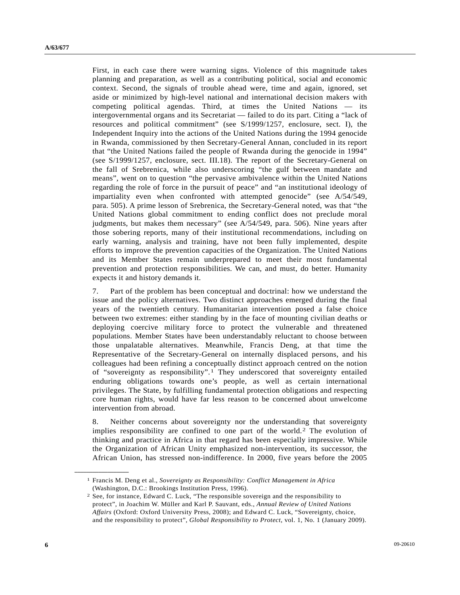First, in each case there were warning signs. Violence of this magnitude takes planning and preparation, as well as a contributing political, social and economic context. Second, the signals of trouble ahead were, time and again, ignored, set aside or minimized by high-level national and international decision makers with competing political agendas. Third, at times the United Nations — its intergovernmental organs and its Secretariat — failed to do its part. Citing a "lack of resources and political commitment" (see S/1999/1257, enclosure, sect. I), the Independent Inquiry into the actions of the United Nations during the 1994 genocide in Rwanda, commissioned by then Secretary-General Annan, concluded in its report that "the United Nations failed the people of Rwanda during the genocide in 1994" (see S/1999/1257, enclosure, sect. III.18). The report of the Secretary-General on the fall of Srebrenica, while also underscoring "the gulf between mandate and means", went on to question "the pervasive ambivalence within the United Nations regarding the role of force in the pursuit of peace" and "an institutional ideology of impartiality even when confronted with attempted genocide" (see A/54/549, para. 505). A prime lesson of Srebrenica, the Secretary-General noted, was that "the United Nations global commitment to ending conflict does not preclude moral judgments, but makes them necessary" (see A/54/549, para. 506). Nine years after those sobering reports, many of their institutional recommendations, including on early warning, analysis and training, have not been fully implemented, despite efforts to improve the prevention capacities of the Organization. The United Nations and its Member States remain underprepared to meet their most fundamental prevention and protection responsibilities. We can, and must, do better. Humanity expects it and history demands it.

7. Part of the problem has been conceptual and doctrinal: how we understand the issue and the policy alternatives. Two distinct approaches emerged during the final years of the twentieth century. Humanitarian intervention posed a false choice between two extremes: either standing by in the face of mounting civilian deaths or deploying coercive military force to protect the vulnerable and threatened populations. Member States have been understandably reluctant to choose between those unpalatable alternatives. Meanwhile, Francis Deng, at that time the Representative of the Secretary-General on internally displaced persons, and his colleagues had been refining a conceptually distinct approach centred on the notion of "sovereignty as responsibility".[1](#page-5-0) They underscored that sovereignty entailed enduring obligations towards one's people, as well as certain international privileges. The State, by fulfilling fundamental protection obligations and respecting core human rights, would have far less reason to be concerned about unwelcome intervention from abroad.

8. Neither concerns about sovereignty nor the understanding that sovereignty implies responsibility are confined to one part of the world.[2](#page-5-1) The evolution of thinking and practice in Africa in that regard has been especially impressive. While the Organization of African Unity emphasized non-intervention, its successor, the African Union, has stressed non-indifference. In 2000, five years before the 2005

<span id="page-5-1"></span><span id="page-5-0"></span>**\_\_\_\_\_\_\_\_\_\_\_\_\_\_\_\_\_\_** 

<sup>1</sup> Francis M. Deng et al., *Sovereignty as Responsibility: Conflict Management in Africa* (Washington, D.C.: Brookings Institution Press, 1996).

<sup>2</sup> See, for instance, Edward C. Luck, "The responsible sovereign and the responsibility to protect", in Joachim W. Müller and Karl P. Sauvant, eds., *Annual Review of United Nations Affairs* (Oxford: Oxford University Press, 2008); and Edward C. Luck, "Sovereignty, choice, and the responsibility to protect", *Global Responsibility to Protect*, vol. 1, No. 1 (January 2009).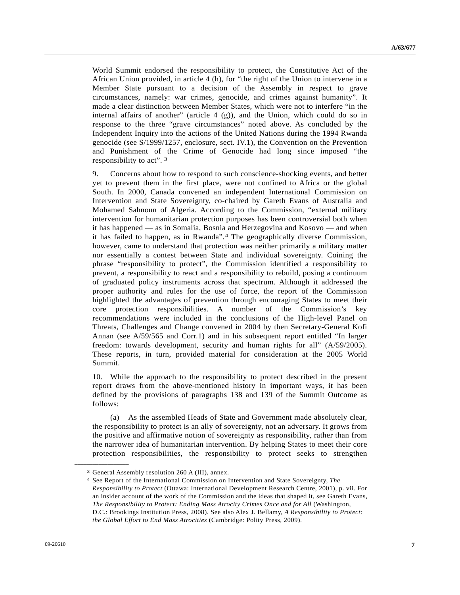World Summit endorsed the responsibility to protect, the Constitutive Act of the African Union provided, in article 4 (h), for "the right of the Union to intervene in a Member State pursuant to a decision of the Assembly in respect to grave circumstances, namely: war crimes, genocide, and crimes against humanity". It made a clear distinction between Member States, which were not to interfere "in the internal affairs of another" (article 4 (g)), and the Union, which could do so in response to the three "grave circumstances" noted above. As concluded by the Independent Inquiry into the actions of the United Nations during the 1994 Rwanda genocide (see S/1999/1257, enclosure, sect. IV.1), the Convention on the Prevention and Punishment of the Crime of Genocide had long since imposed "the responsibility to act". [3](#page-6-0) 

9. Concerns about how to respond to such conscience-shocking events, and better yet to prevent them in the first place, were not confined to Africa or the global South. In 2000, Canada convened an independent International Commission on Intervention and State Sovereignty, co-chaired by Gareth Evans of Australia and Mohamed Sahnoun of Algeria. According to the Commission, "external military intervention for humanitarian protection purposes has been controversial both when it has happened — as in Somalia, Bosnia and Herzegovina and Kosovo — and when it has failed to happen, as in Rwanda".[4](#page-6-1) The geographically diverse Commission, however, came to understand that protection was neither primarily a military matter nor essentially a contest between State and individual sovereignty. Coining the phrase "responsibility to protect", the Commission identified a responsibility to prevent, a responsibility to react and a responsibility to rebuild, posing a continuum of graduated policy instruments across that spectrum. Although it addressed the proper authority and rules for the use of force, the report of the Commission highlighted the advantages of prevention through encouraging States to meet their core protection responsibilities. A number of the Commission's key recommendations were included in the conclusions of the High-level Panel on Threats, Challenges and Change convened in 2004 by then Secretary-General Kofi Annan (see A/59/565 and Corr.1) and in his subsequent report entitled "In larger freedom: towards development, security and human rights for all" (A/59/2005). These reports, in turn, provided material for consideration at the 2005 World Summit.

10. While the approach to the responsibility to protect described in the present report draws from the above-mentioned history in important ways, it has been defined by the provisions of paragraphs 138 and 139 of the Summit Outcome as follows:

 (a) As the assembled Heads of State and Government made absolutely clear, the responsibility to protect is an ally of sovereignty, not an adversary. It grows from the positive and affirmative notion of sovereignty as responsibility, rather than from the narrower idea of humanitarian intervention. By helping States to meet their core protection responsibilities, the responsibility to protect seeks to strengthen

<span id="page-6-1"></span><span id="page-6-0"></span>**\_\_\_\_\_\_\_\_\_\_\_\_\_\_\_\_\_\_** 

<sup>3</sup> General Assembly resolution 260 A (III), annex. 4 See Report of the International Commission on Intervention and State Sovereignty, *The Responsibility to Protect* (Ottawa: International Development Research Centre, 2001), p. vii. For an insider account of the work of the Commission and the ideas that shaped it, see Gareth Evans, *The Responsibility to Protect: Ending Mass Atrocity Crimes Once and for All* (Washington, D.C.: Brookings Institution Press, 2008). See also Alex J. Bellamy, *A Responsibility to Protect: the Global Effort to End Mass Atrocities* (Cambridge: Polity Press, 2009).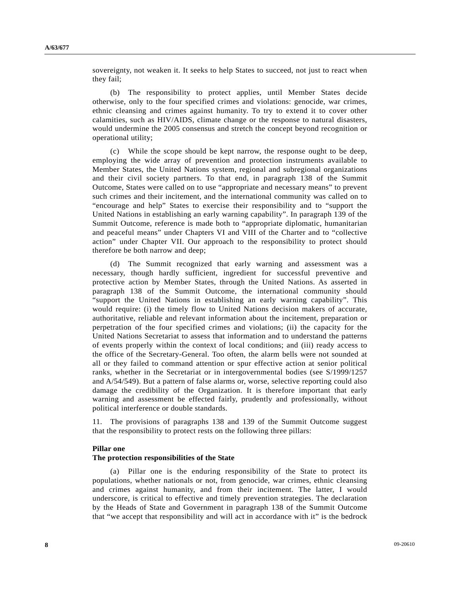sovereignty, not weaken it. It seeks to help States to succeed, not just to react when they fail;

 (b) The responsibility to protect applies, until Member States decide otherwise, only to the four specified crimes and violations: genocide, war crimes, ethnic cleansing and crimes against humanity. To try to extend it to cover other calamities, such as HIV/AIDS, climate change or the response to natural disasters, would undermine the 2005 consensus and stretch the concept beyond recognition or operational utility;

 (c) While the scope should be kept narrow, the response ought to be deep, employing the wide array of prevention and protection instruments available to Member States, the United Nations system, regional and subregional organizations and their civil society partners. To that end, in paragraph 138 of the Summit Outcome, States were called on to use "appropriate and necessary means" to prevent such crimes and their incitement, and the international community was called on to "encourage and help" States to exercise their responsibility and to "support the United Nations in establishing an early warning capability". In paragraph 139 of the Summit Outcome, reference is made both to "appropriate diplomatic, humanitarian and peaceful means" under Chapters VI and VIII of the Charter and to "collective action" under Chapter VII. Our approach to the responsibility to protect should therefore be both narrow and deep;

 (d) The Summit recognized that early warning and assessment was a necessary, though hardly sufficient, ingredient for successful preventive and protective action by Member States, through the United Nations. As asserted in paragraph 138 of the Summit Outcome, the international community should "support the United Nations in establishing an early warning capability". This would require: (i) the timely flow to United Nations decision makers of accurate, authoritative, reliable and relevant information about the incitement, preparation or perpetration of the four specified crimes and violations; (ii) the capacity for the United Nations Secretariat to assess that information and to understand the patterns of events properly within the context of local conditions; and (iii) ready access to the office of the Secretary-General. Too often, the alarm bells were not sounded at all or they failed to command attention or spur effective action at senior political ranks, whether in the Secretariat or in intergovernmental bodies (see S/1999/1257 and A/54/549). But a pattern of false alarms or, worse, selective reporting could also damage the credibility of the Organization. It is therefore important that early warning and assessment be effected fairly, prudently and professionally, without political interference or double standards.

11. The provisions of paragraphs 138 and 139 of the Summit Outcome suggest that the responsibility to protect rests on the following three pillars:

#### **Pillar one**

#### **The protection responsibilities of the State**

 (a) Pillar one is the enduring responsibility of the State to protect its populations, whether nationals or not, from genocide, war crimes, ethnic cleansing and crimes against humanity, and from their incitement. The latter, I would underscore, is critical to effective and timely prevention strategies. The declaration by the Heads of State and Government in paragraph 138 of the Summit Outcome that "we accept that responsibility and will act in accordance with it" is the bedrock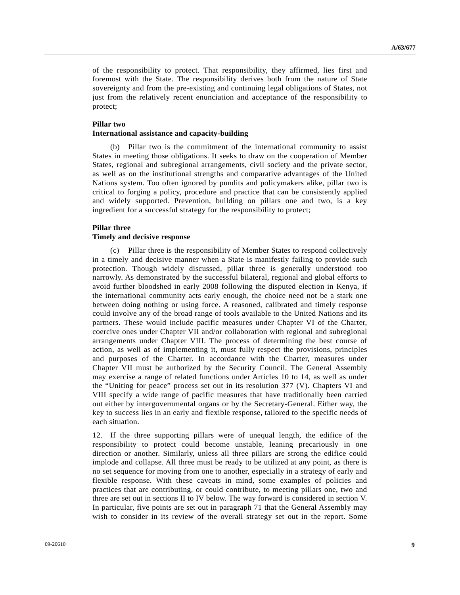of the responsibility to protect. That responsibility, they affirmed, lies first and foremost with the State. The responsibility derives both from the nature of State sovereignty and from the pre-existing and continuing legal obligations of States, not just from the relatively recent enunciation and acceptance of the responsibility to protect;

#### **Pillar two International assistance and capacity-building**

 (b) Pillar two is the commitment of the international community to assist States in meeting those obligations. It seeks to draw on the cooperation of Member States, regional and subregional arrangements, civil society and the private sector, as well as on the institutional strengths and comparative advantages of the United Nations system. Too often ignored by pundits and policymakers alike, pillar two is critical to forging a policy, procedure and practice that can be consistently applied and widely supported. Prevention, building on pillars one and two, is a key ingredient for a successful strategy for the responsibility to protect;

# **Pillar three**

## **Timely and decisive response**

 (c) Pillar three is the responsibility of Member States to respond collectively in a timely and decisive manner when a State is manifestly failing to provide such protection. Though widely discussed, pillar three is generally understood too narrowly. As demonstrated by the successful bilateral, regional and global efforts to avoid further bloodshed in early 2008 following the disputed election in Kenya, if the international community acts early enough, the choice need not be a stark one between doing nothing or using force. A reasoned, calibrated and timely response could involve any of the broad range of tools available to the United Nations and its partners. These would include pacific measures under Chapter VI of the Charter, coercive ones under Chapter VII and/or collaboration with regional and subregional arrangements under Chapter VIII. The process of determining the best course of action, as well as of implementing it, must fully respect the provisions, principles and purposes of the Charter. In accordance with the Charter, measures under Chapter VII must be authorized by the Security Council. The General Assembly may exercise a range of related functions under Articles 10 to 14, as well as under the "Uniting for peace" process set out in its resolution 377 (V). Chapters VI and VIII specify a wide range of pacific measures that have traditionally been carried out either by intergovernmental organs or by the Secretary-General. Either way, the key to success lies in an early and flexible response, tailored to the specific needs of each situation.

12. If the three supporting pillars were of unequal length, the edifice of the responsibility to protect could become unstable, leaning precariously in one direction or another. Similarly, unless all three pillars are strong the edifice could implode and collapse. All three must be ready to be utilized at any point, as there is no set sequence for moving from one to another, especially in a strategy of early and flexible response. With these caveats in mind, some examples of policies and practices that are contributing, or could contribute, to meeting pillars one, two and three are set out in sections II to IV below. The way forward is considered in section V. In particular, five points are set out in paragraph 71 that the General Assembly may wish to consider in its review of the overall strategy set out in the report. Some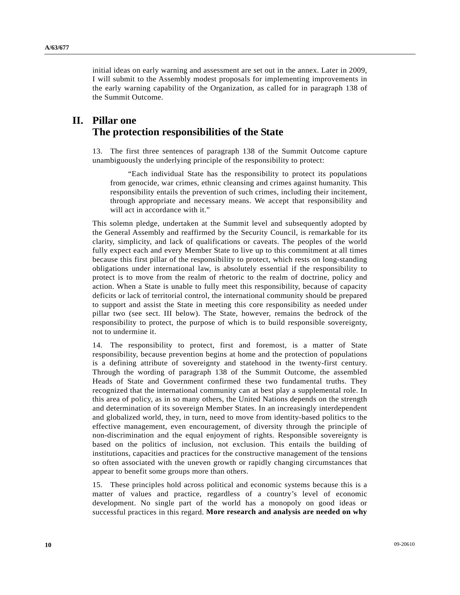initial ideas on early warning and assessment are set out in the annex. Later in 2009, I will submit to the Assembly modest proposals for implementing improvements in the early warning capability of the Organization, as called for in paragraph 138 of the Summit Outcome.

# **II. Pillar one The protection responsibilities of the State**

13. The first three sentences of paragraph 138 of the Summit Outcome capture unambiguously the underlying principle of the responsibility to protect:

 "Each individual State has the responsibility to protect its populations from genocide, war crimes, ethnic cleansing and crimes against humanity. This responsibility entails the prevention of such crimes, including their incitement, through appropriate and necessary means. We accept that responsibility and will act in accordance with it."

This solemn pledge, undertaken at the Summit level and subsequently adopted by the General Assembly and reaffirmed by the Security Council, is remarkable for its clarity, simplicity, and lack of qualifications or caveats. The peoples of the world fully expect each and every Member State to live up to this commitment at all times because this first pillar of the responsibility to protect, which rests on long-standing obligations under international law, is absolutely essential if the responsibility to protect is to move from the realm of rhetoric to the realm of doctrine, policy and action. When a State is unable to fully meet this responsibility, because of capacity deficits or lack of territorial control, the international community should be prepared to support and assist the State in meeting this core responsibility as needed under pillar two (see sect. III below). The State, however, remains the bedrock of the responsibility to protect, the purpose of which is to build responsible sovereignty, not to undermine it.

14. The responsibility to protect, first and foremost, is a matter of State responsibility, because prevention begins at home and the protection of populations is a defining attribute of sovereignty and statehood in the twenty-first century. Through the wording of paragraph 138 of the Summit Outcome, the assembled Heads of State and Government confirmed these two fundamental truths. They recognized that the international community can at best play a supplemental role. In this area of policy, as in so many others, the United Nations depends on the strength and determination of its sovereign Member States. In an increasingly interdependent and globalized world, they, in turn, need to move from identity-based politics to the effective management, even encouragement, of diversity through the principle of non-discrimination and the equal enjoyment of rights. Responsible sovereignty is based on the politics of inclusion, not exclusion. This entails the building of institutions, capacities and practices for the constructive management of the tensions so often associated with the uneven growth or rapidly changing circumstances that appear to benefit some groups more than others.

15. These principles hold across political and economic systems because this is a matter of values and practice, regardless of a country's level of economic development. No single part of the world has a monopoly on good ideas or successful practices in this regard. **More research and analysis are needed on why**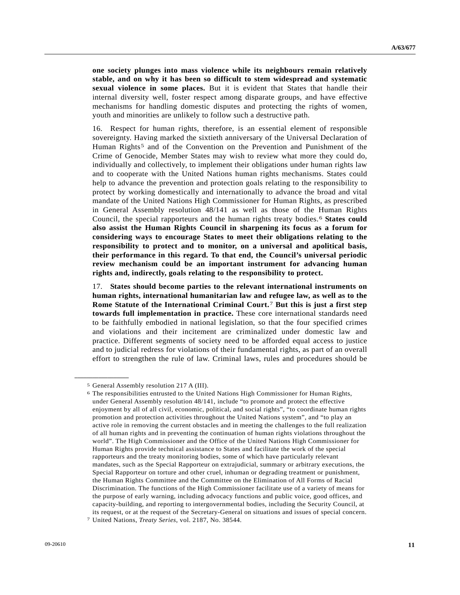**one society plunges into mass violence while its neighbours remain relatively stable, and on why it has been so difficult to stem widespread and systematic sexual violence in some places.** But it is evident that States that handle their internal diversity well, foster respect among disparate groups, and have effective mechanisms for handling domestic disputes and protecting the rights of women, youth and minorities are unlikely to follow such a destructive path.

16. Respect for human rights, therefore, is an essential element of responsible sovereignty. Having marked the sixtieth anniversary of the Universal Declaration of Human Rights<sup>5</sup> and of the Convention on the Prevention and Punishment of the Crime of Genocide, Member States may wish to review what more they could do, individually and collectively, to implement their obligations under human rights law and to cooperate with the United Nations human rights mechanisms. States could help to advance the prevention and protection goals relating to the responsibility to protect by working domestically and internationally to advance the broad and vital mandate of the United Nations High Commissioner for Human Rights, as prescribed in General Assembly resolution 48/141 as well as those of the Human Rights Council, the special rapporteurs and the human rights treaty bodies.[6](#page-10-1) **States could also assist the Human Rights Council in sharpening its focus as a forum for considering ways to encourage States to meet their obligations relating to the responsibility to protect and to monitor, on a universal and apolitical basis, their performance in this regard. To that end, the Council's universal periodic review mechanism could be an important instrument for advancing human rights and, indirectly, goals relating to the responsibility to protect.**

17. **States should become parties to the relevant international instruments on human rights, international humanitarian law and refugee law, as well as to the Rome Statute of the International Criminal Court.**[7](#page-10-2) **But this is just a first step towards full implementation in practice.** These core international standards need to be faithfully embodied in national legislation, so that the four specified crimes and violations and their incitement are criminalized under domestic law and practice. Different segments of society need to be afforded equal access to justice and to judicial redress for violations of their fundamental rights, as part of an overall effort to strengthen the rule of law. Criminal laws, rules and procedures should be

<span id="page-10-1"></span><span id="page-10-0"></span>**\_\_\_\_\_\_\_\_\_\_\_\_\_\_\_\_\_\_** 

<sup>5</sup> General Assembly resolution 217 A (III).

<sup>6</sup> The responsibilities entrusted to the United Nations High Commissioner for Human Rights, under General Assembly resolution 48/141, include "to promote and protect the effective enjoyment by all of all civil, economic, political, and social rights", "to coordinate human rights promotion and protection activities throughout the United Nations system", and "to play an active role in removing the current obstacles and in meeting the challenges to the full realization of all human rights and in preventing the continuation of human rights violations throughout the world". The High Commissioner and the Office of the United Nations High Commissioner for Human Rights provide technical assistance to States and facilitate the work of the special rapporteurs and the treaty monitoring bodies, some of which have particularly relevant mandates, such as the Special Rapporteur on extrajudicial, summary or arbitrary executions, the Special Rapporteur on torture and other cruel, inhuman or degrading treatment or punishment, the Human Rights Committee and the Committee on the Elimination of All Forms of Racial Discrimination. The functions of the High Commissioner facilitate use of a variety of means for the purpose of early warning, including advocacy functions and public voice, good offices, and capacity-building, and reporting to intergovernmental bodies, including the Security Council, at its request, or at the request of the Secretary-General on situations and issues of special concern.

<span id="page-10-2"></span><sup>7</sup> United Nations, *Treaty Series*, vol. 2187, No. 38544.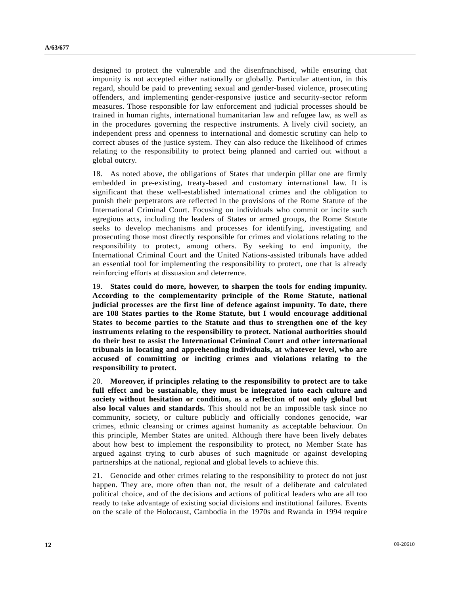designed to protect the vulnerable and the disenfranchised, while ensuring that impunity is not accepted either nationally or globally. Particular attention, in this regard, should be paid to preventing sexual and gender-based violence, prosecuting offenders, and implementing gender-responsive justice and security-sector reform measures. Those responsible for law enforcement and judicial processes should be trained in human rights, international humanitarian law and refugee law, as well as in the procedures governing the respective instruments. A lively civil society, an independent press and openness to international and domestic scrutiny can help to correct abuses of the justice system. They can also reduce the likelihood of crimes relating to the responsibility to protect being planned and carried out without a global outcry.

18. As noted above, the obligations of States that underpin pillar one are firmly embedded in pre-existing, treaty-based and customary international law. It is significant that these well-established international crimes and the obligation to punish their perpetrators are reflected in the provisions of the Rome Statute of the International Criminal Court. Focusing on individuals who commit or incite such egregious acts, including the leaders of States or armed groups, the Rome Statute seeks to develop mechanisms and processes for identifying, investigating and prosecuting those most directly responsible for crimes and violations relating to the responsibility to protect, among others. By seeking to end impunity, the International Criminal Court and the United Nations-assisted tribunals have added an essential tool for implementing the responsibility to protect, one that is already reinforcing efforts at dissuasion and deterrence.

19. **States could do more, however, to sharpen the tools for ending impunity. According to the complementarity principle of the Rome Statute, national judicial processes are the first line of defence against impunity. To date, there are 108 States parties to the Rome Statute, but I would encourage additional States to become parties to the Statute and thus to strengthen one of the key instruments relating to the responsibility to protect. National authorities should do their best to assist the International Criminal Court and other international tribunals in locating and apprehending individuals, at whatever level, who are accused of committing or inciting crimes and violations relating to the responsibility to protect.**

20. **Moreover, if principles relating to the responsibility to protect are to take full effect and be sustainable, they must be integrated into each culture and society without hesitation or condition, as a reflection of not only global but also local values and standards.** This should not be an impossible task since no community, society, or culture publicly and officially condones genocide, war crimes, ethnic cleansing or crimes against humanity as acceptable behaviour. On this principle, Member States are united. Although there have been lively debates about how best to implement the responsibility to protect, no Member State has argued against trying to curb abuses of such magnitude or against developing partnerships at the national, regional and global levels to achieve this.

21. Genocide and other crimes relating to the responsibility to protect do not just happen. They are, more often than not, the result of a deliberate and calculated political choice, and of the decisions and actions of political leaders who are all too ready to take advantage of existing social divisions and institutional failures. Events on the scale of the Holocaust, Cambodia in the 1970s and Rwanda in 1994 require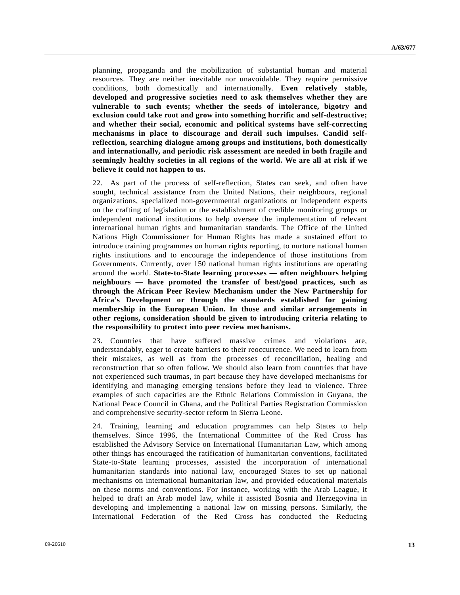planning, propaganda and the mobilization of substantial human and material resources. They are neither inevitable nor unavoidable. They require permissive conditions, both domestically and internationally. **Even relatively stable, developed and progressive societies need to ask themselves whether they are vulnerable to such events; whether the seeds of intolerance, bigotry and exclusion could take root and grow into something horrific and self-destructive; and whether their social, economic and political systems have self-correcting mechanisms in place to discourage and derail such impulses. Candid selfreflection, searching dialogue among groups and institutions, both domestically and internationally, and periodic risk assessment are needed in both fragile and seemingly healthy societies in all regions of the world. We are all at risk if we believe it could not happen to us.** 

22. As part of the process of self-reflection, States can seek, and often have sought, technical assistance from the United Nations, their neighbours, regional organizations, specialized non-governmental organizations or independent experts on the crafting of legislation or the establishment of credible monitoring groups or independent national institutions to help oversee the implementation of relevant international human rights and humanitarian standards. The Office of the United Nations High Commissioner for Human Rights has made a sustained effort to introduce training programmes on human rights reporting, to nurture national human rights institutions and to encourage the independence of those institutions from Governments. Currently, over 150 national human rights institutions are operating around the world. **State-to-State learning processes — often neighbours helping neighbours — have promoted the transfer of best/good practices, such as through the African Peer Review Mechanism under the New Partnership for Africa's Development or through the standards established for gaining membership in the European Union. In those and similar arrangements in other regions, consideration should be given to introducing criteria relating to the responsibility to protect into peer review mechanisms.** 

23. Countries that have suffered massive crimes and violations are, understandably, eager to create barriers to their reoccurrence. We need to learn from their mistakes, as well as from the processes of reconciliation, healing and reconstruction that so often follow. We should also learn from countries that have not experienced such traumas, in part because they have developed mechanisms for identifying and managing emerging tensions before they lead to violence. Three examples of such capacities are the Ethnic Relations Commission in Guyana, the National Peace Council in Ghana, and the Political Parties Registration Commission and comprehensive security-sector reform in Sierra Leone.

24. Training, learning and education programmes can help States to help themselves. Since 1996, the International Committee of the Red Cross has established the Advisory Service on International Humanitarian Law, which among other things has encouraged the ratification of humanitarian conventions, facilitated State-to-State learning processes, assisted the incorporation of international humanitarian standards into national law, encouraged States to set up national mechanisms on international humanitarian law, and provided educational materials on these norms and conventions. For instance, working with the Arab League, it helped to draft an Arab model law, while it assisted Bosnia and Herzegovina in developing and implementing a national law on missing persons. Similarly, the International Federation of the Red Cross has conducted the Reducing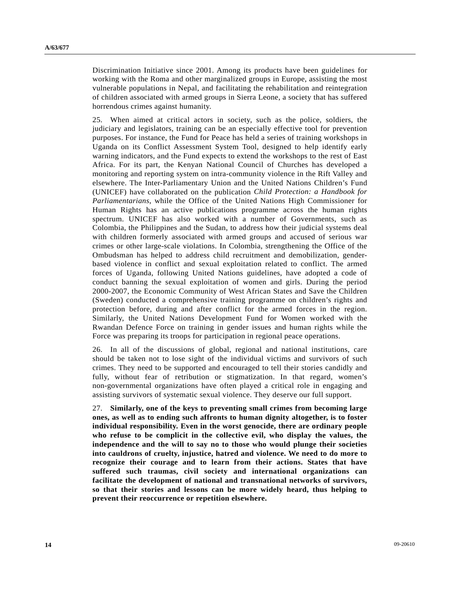Discrimination Initiative since 2001. Among its products have been guidelines for working with the Roma and other marginalized groups in Europe, assisting the most vulnerable populations in Nepal, and facilitating the rehabilitation and reintegration of children associated with armed groups in Sierra Leone, a society that has suffered horrendous crimes against humanity.

25. When aimed at critical actors in society, such as the police, soldiers, the judiciary and legislators, training can be an especially effective tool for prevention purposes. For instance, the Fund for Peace has held a series of training workshops in Uganda on its Conflict Assessment System Tool, designed to help identify early warning indicators, and the Fund expects to extend the workshops to the rest of East Africa. For its part, the Kenyan National Council of Churches has developed a monitoring and reporting system on intra-community violence in the Rift Valley and elsewhere. The Inter-Parliamentary Union and the United Nations Children's Fund (UNICEF) have collaborated on the publication *Child Protection: a Handbook for Parliamentarians*, while the Office of the United Nations High Commissioner for Human Rights has an active publications programme across the human rights spectrum. UNICEF has also worked with a number of Governments, such as Colombia, the Philippines and the Sudan, to address how their judicial systems deal with children formerly associated with armed groups and accused of serious war crimes or other large-scale violations. In Colombia, strengthening the Office of the Ombudsman has helped to address child recruitment and demobilization, genderbased violence in conflict and sexual exploitation related to conflict. The armed forces of Uganda, following United Nations guidelines, have adopted a code of conduct banning the sexual exploitation of women and girls. During the period 2000-2007, the Economic Community of West African States and Save the Children (Sweden) conducted a comprehensive training programme on children's rights and protection before, during and after conflict for the armed forces in the region. Similarly, the United Nations Development Fund for Women worked with the Rwandan Defence Force on training in gender issues and human rights while the Force was preparing its troops for participation in regional peace operations.

26. In all of the discussions of global, regional and national institutions, care should be taken not to lose sight of the individual victims and survivors of such crimes. They need to be supported and encouraged to tell their stories candidly and fully, without fear of retribution or stigmatization. In that regard, women's non-governmental organizations have often played a critical role in engaging and assisting survivors of systematic sexual violence. They deserve our full support.

27. **Similarly, one of the keys to preventing small crimes from becoming large ones, as well as to ending such affronts to human dignity altogether, is to foster individual responsibility. Even in the worst genocide, there are ordinary people who refuse to be complicit in the collective evil, who display the values, the independence and the will to say no to those who would plunge their societies into cauldrons of cruelty, injustice, hatred and violence. We need to do more to recognize their courage and to learn from their actions. States that have suffered such traumas, civil society and international organizations can facilitate the development of national and transnational networks of survivors, so that their stories and lessons can be more widely heard, thus helping to prevent their reoccurrence or repetition elsewhere.**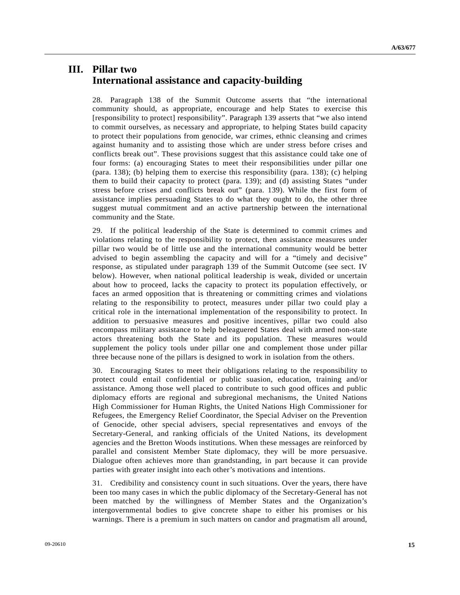# **III. Pillar two International assistance and capacity-building**

28. Paragraph 138 of the Summit Outcome asserts that "the international community should, as appropriate, encourage and help States to exercise this [responsibility to protect] responsibility". Paragraph 139 asserts that "we also intend to commit ourselves, as necessary and appropriate, to helping States build capacity to protect their populations from genocide, war crimes, ethnic cleansing and crimes against humanity and to assisting those which are under stress before crises and conflicts break out". These provisions suggest that this assistance could take one of four forms: (a) encouraging States to meet their responsibilities under pillar one (para. 138); (b) helping them to exercise this responsibility (para. 138); (c) helping them to build their capacity to protect (para. 139); and (d) assisting States "under stress before crises and conflicts break out" (para. 139). While the first form of assistance implies persuading States to do what they ought to do, the other three suggest mutual commitment and an active partnership between the international community and the State.

29. If the political leadership of the State is determined to commit crimes and violations relating to the responsibility to protect, then assistance measures under pillar two would be of little use and the international community would be better advised to begin assembling the capacity and will for a "timely and decisive" response, as stipulated under paragraph 139 of the Summit Outcome (see sect. IV below). However, when national political leadership is weak, divided or uncertain about how to proceed, lacks the capacity to protect its population effectively, or faces an armed opposition that is threatening or committing crimes and violations relating to the responsibility to protect, measures under pillar two could play a critical role in the international implementation of the responsibility to protect. In addition to persuasive measures and positive incentives, pillar two could also encompass military assistance to help beleaguered States deal with armed non-state actors threatening both the State and its population. These measures would supplement the policy tools under pillar one and complement those under pillar three because none of the pillars is designed to work in isolation from the others.

30. Encouraging States to meet their obligations relating to the responsibility to protect could entail confidential or public suasion, education, training and/or assistance. Among those well placed to contribute to such good offices and public diplomacy efforts are regional and subregional mechanisms, the United Nations High Commissioner for Human Rights, the United Nations High Commissioner for Refugees, the Emergency Relief Coordinator, the Special Adviser on the Prevention of Genocide, other special advisers, special representatives and envoys of the Secretary-General, and ranking officials of the United Nations, its development agencies and the Bretton Woods institutions. When these messages are reinforced by parallel and consistent Member State diplomacy, they will be more persuasive. Dialogue often achieves more than grandstanding, in part because it can provide parties with greater insight into each other's motivations and intentions.

31. Credibility and consistency count in such situations. Over the years, there have been too many cases in which the public diplomacy of the Secretary-General has not been matched by the willingness of Member States and the Organization's intergovernmental bodies to give concrete shape to either his promises or his warnings. There is a premium in such matters on candor and pragmatism all around,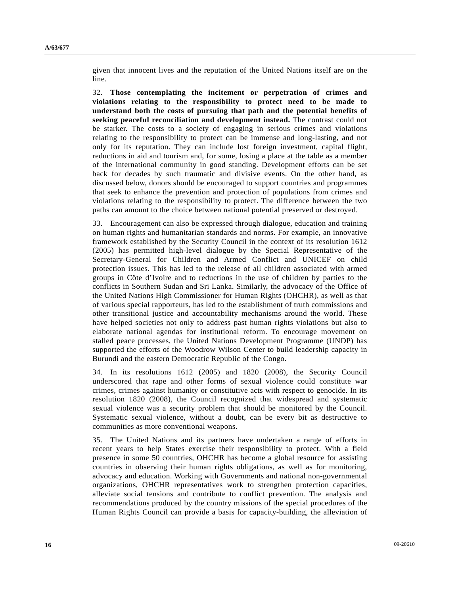given that innocent lives and the reputation of the United Nations itself are on the line.

32. **Those contemplating the incitement or perpetration of crimes and violations relating to the responsibility to protect need to be made to understand both the costs of pursuing that path and the potential benefits of seeking peaceful reconciliation and development instead.** The contrast could not be starker. The costs to a society of engaging in serious crimes and violations relating to the responsibility to protect can be immense and long-lasting, and not only for its reputation. They can include lost foreign investment, capital flight, reductions in aid and tourism and, for some, losing a place at the table as a member of the international community in good standing. Development efforts can be set back for decades by such traumatic and divisive events. On the other hand, as discussed below, donors should be encouraged to support countries and programmes that seek to enhance the prevention and protection of populations from crimes and violations relating to the responsibility to protect. The difference between the two paths can amount to the choice between national potential preserved or destroyed.

33. Encouragement can also be expressed through dialogue, education and training on human rights and humanitarian standards and norms. For example, an innovative framework established by the Security Council in the context of its resolution 1612 (2005) has permitted high-level dialogue by the Special Representative of the Secretary-General for Children and Armed Conflict and UNICEF on child protection issues. This has led to the release of all children associated with armed groups in Côte d'Ivoire and to reductions in the use of children by parties to the conflicts in Southern Sudan and Sri Lanka. Similarly, the advocacy of the Office of the United Nations High Commissioner for Human Rights (OHCHR), as well as that of various special rapporteurs, has led to the establishment of truth commissions and other transitional justice and accountability mechanisms around the world. These have helped societies not only to address past human rights violations but also to elaborate national agendas for institutional reform. To encourage movement on stalled peace processes, the United Nations Development Programme (UNDP) has supported the efforts of the Woodrow Wilson Center to build leadership capacity in Burundi and the eastern Democratic Republic of the Congo.

34. In its resolutions 1612 (2005) and 1820 (2008), the Security Council underscored that rape and other forms of sexual violence could constitute war crimes, crimes against humanity or constitutive acts with respect to genocide. In its resolution 1820 (2008), the Council recognized that widespread and systematic sexual violence was a security problem that should be monitored by the Council. Systematic sexual violence, without a doubt, can be every bit as destructive to communities as more conventional weapons.

35. The United Nations and its partners have undertaken a range of efforts in recent years to help States exercise their responsibility to protect. With a field presence in some 50 countries, OHCHR has become a global resource for assisting countries in observing their human rights obligations, as well as for monitoring, advocacy and education. Working with Governments and national non-governmental organizations, OHCHR representatives work to strengthen protection capacities, alleviate social tensions and contribute to conflict prevention. The analysis and recommendations produced by the country missions of the special procedures of the Human Rights Council can provide a basis for capacity-building, the alleviation of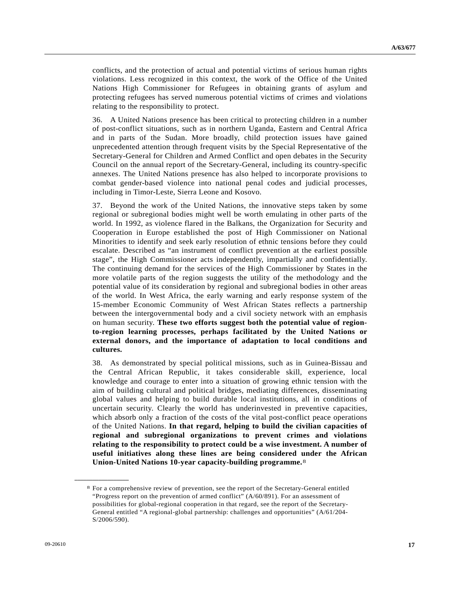conflicts, and the protection of actual and potential victims of serious human rights violations. Less recognized in this context, the work of the Office of the United Nations High Commissioner for Refugees in obtaining grants of asylum and protecting refugees has served numerous potential victims of crimes and violations relating to the responsibility to protect.

36. A United Nations presence has been critical to protecting children in a number of post-conflict situations, such as in northern Uganda, Eastern and Central Africa and in parts of the Sudan. More broadly, child protection issues have gained unprecedented attention through frequent visits by the Special Representative of the Secretary-General for Children and Armed Conflict and open debates in the Security Council on the annual report of the Secretary-General, including its country-specific annexes. The United Nations presence has also helped to incorporate provisions to combat gender-based violence into national penal codes and judicial processes, including in Timor-Leste, Sierra Leone and Kosovo.

37. Beyond the work of the United Nations, the innovative steps taken by some regional or subregional bodies might well be worth emulating in other parts of the world. In 1992, as violence flared in the Balkans, the Organization for Security and Cooperation in Europe established the post of High Commissioner on National Minorities to identify and seek early resolution of ethnic tensions before they could escalate. Described as "an instrument of conflict prevention at the earliest possible stage", the High Commissioner acts independently, impartially and confidentially. The continuing demand for the services of the High Commissioner by States in the more volatile parts of the region suggests the utility of the methodology and the potential value of its consideration by regional and subregional bodies in other areas of the world. In West Africa, the early warning and early response system of the 15-member Economic Community of West African States reflects a partnership between the intergovernmental body and a civil society network with an emphasis on human security. **These two efforts suggest both the potential value of regionto-region learning processes, perhaps facilitated by the United Nations or external donors, and the importance of adaptation to local conditions and cultures.** 

38. As demonstrated by special political missions, such as in Guinea-Bissau and the Central African Republic, it takes considerable skill, experience, local knowledge and courage to enter into a situation of growing ethnic tension with the aim of building cultural and political bridges, mediating differences, disseminating global values and helping to build durable local institutions, all in conditions of uncertain security. Clearly the world has underinvested in preventive capacities, which absorb only a fraction of the costs of the vital post-conflict peace operations of the United Nations. **In that regard, helping to build the civilian capacities of regional and subregional organizations to prevent crimes and violations relating to the responsibility to protect could be a wise investment. A number of useful initiatives along these lines are being considered under the African Union-United Nations 10-year capacity-building programme.**[8](#page-16-0)

<span id="page-16-0"></span>**\_\_\_\_\_\_\_\_\_\_\_\_\_\_\_\_\_\_** 

<sup>8</sup> For a comprehensive review of prevention, see the report of the Secretary-General entitled "Progress report on the prevention of armed conflict" (A/60/891). For an assessment of possibilities for global-regional cooperation in that regard, see the report of the Secretary-General entitled "A regional-global partnership: challenges and opportunities" (A/61/204- S/2006/590).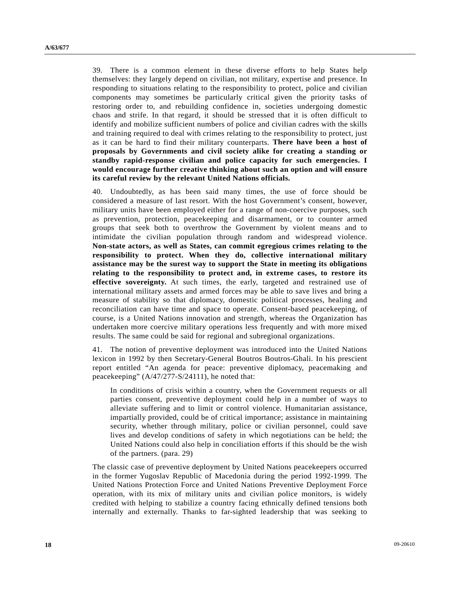39. There is a common element in these diverse efforts to help States help themselves: they largely depend on civilian, not military, expertise and presence. In responding to situations relating to the responsibility to protect, police and civilian components may sometimes be particularly critical given the priority tasks of restoring order to, and rebuilding confidence in, societies undergoing domestic chaos and strife. In that regard, it should be stressed that it is often difficult to identify and mobilize sufficient numbers of police and civilian cadres with the skills and training required to deal with crimes relating to the responsibility to protect, just as it can be hard to find their military counterparts. **There have been a host of proposals by Governments and civil society alike for creating a standing or standby rapid-response civilian and police capacity for such emergencies. I would encourage further creative thinking about such an option and will ensure its careful review by the relevant United Nations officials.**

40. Undoubtedly, as has been said many times, the use of force should be considered a measure of last resort. With the host Government's consent, however, military units have been employed either for a range of non-coercive purposes, such as prevention, protection, peacekeeping and disarmament, or to counter armed groups that seek both to overthrow the Government by violent means and to intimidate the civilian population through random and widespread violence. **Non-state actors, as well as States, can commit egregious crimes relating to the responsibility to protect. When they do, collective international military assistance may be the surest way to support the State in meeting its obligations relating to the responsibility to protect and, in extreme cases, to restore its effective sovereignty.** At such times, the early, targeted and restrained use of international military assets and armed forces may be able to save lives and bring a measure of stability so that diplomacy, domestic political processes, healing and reconciliation can have time and space to operate. Consent-based peacekeeping, of course, is a United Nations innovation and strength, whereas the Organization has undertaken more coercive military operations less frequently and with more mixed results. The same could be said for regional and subregional organizations.

41. The notion of preventive deployment was introduced into the United Nations lexicon in 1992 by then Secretary-General Boutros Boutros-Ghali. In his prescient report entitled "An agenda for peace: preventive diplomacy, peacemaking and peacekeeping" (A/47/277-S/24111), he noted that:

 In conditions of crisis within a country, when the Government requests or all parties consent, preventive deployment could help in a number of ways to alleviate suffering and to limit or control violence. Humanitarian assistance, impartially provided, could be of critical importance; assistance in maintaining security, whether through military, police or civilian personnel, could save lives and develop conditions of safety in which negotiations can be held; the United Nations could also help in conciliation efforts if this should be the wish of the partners. (para. 29)

The classic case of preventive deployment by United Nations peacekeepers occurred in the former Yugoslav Republic of Macedonia during the period 1992-1999. The United Nations Protection Force and United Nations Preventive Deployment Force operation, with its mix of military units and civilian police monitors, is widely credited with helping to stabilize a country facing ethnically defined tensions both internally and externally. Thanks to far-sighted leadership that was seeking to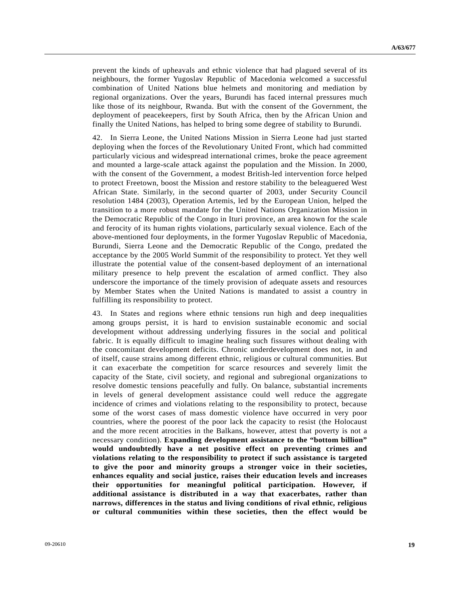prevent the kinds of upheavals and ethnic violence that had plagued several of its neighbours, the former Yugoslav Republic of Macedonia welcomed a successful combination of United Nations blue helmets and monitoring and mediation by regional organizations. Over the years, Burundi has faced internal pressures much like those of its neighbour, Rwanda. But with the consent of the Government, the deployment of peacekeepers, first by South Africa, then by the African Union and finally the United Nations, has helped to bring some degree of stability to Burundi.

42. In Sierra Leone, the United Nations Mission in Sierra Leone had just started deploying when the forces of the Revolutionary United Front, which had committed particularly vicious and widespread international crimes, broke the peace agreement and mounted a large-scale attack against the population and the Mission. In 2000, with the consent of the Government, a modest British-led intervention force helped to protect Freetown, boost the Mission and restore stability to the beleaguered West African State. Similarly, in the second quarter of 2003, under Security Council resolution 1484 (2003), Operation Artemis, led by the European Union, helped the transition to a more robust mandate for the United Nations Organization Mission in the Democratic Republic of the Congo in Ituri province, an area known for the scale and ferocity of its human rights violations, particularly sexual violence. Each of the above-mentioned four deployments, in the former Yugoslav Republic of Macedonia, Burundi, Sierra Leone and the Democratic Republic of the Congo, predated the acceptance by the 2005 World Summit of the responsibility to protect. Yet they well illustrate the potential value of the consent-based deployment of an international military presence to help prevent the escalation of armed conflict. They also underscore the importance of the timely provision of adequate assets and resources by Member States when the United Nations is mandated to assist a country in fulfilling its responsibility to protect.

43. In States and regions where ethnic tensions run high and deep inequalities among groups persist, it is hard to envision sustainable economic and social development without addressing underlying fissures in the social and political fabric. It is equally difficult to imagine healing such fissures without dealing with the concomitant development deficits. Chronic underdevelopment does not, in and of itself, cause strains among different ethnic, religious or cultural communities. But it can exacerbate the competition for scarce resources and severely limit the capacity of the State, civil society, and regional and subregional organizations to resolve domestic tensions peacefully and fully. On balance, substantial increments in levels of general development assistance could well reduce the aggregate incidence of crimes and violations relating to the responsibility to protect, because some of the worst cases of mass domestic violence have occurred in very poor countries, where the poorest of the poor lack the capacity to resist (the Holocaust and the more recent atrocities in the Balkans, however, attest that poverty is not a necessary condition). **Expanding development assistance to the "bottom billion" would undoubtedly have a net positive effect on preventing crimes and violations relating to the responsibility to protect if such assistance is targeted to give the poor and minority groups a stronger voice in their societies, enhances equality and social justice, raises their education levels and increases their opportunities for meaningful political participation. However, if additional assistance is distributed in a way that exacerbates, rather than narrows, differences in the status and living conditions of rival ethnic, religious or cultural communities within these societies, then the effect would be**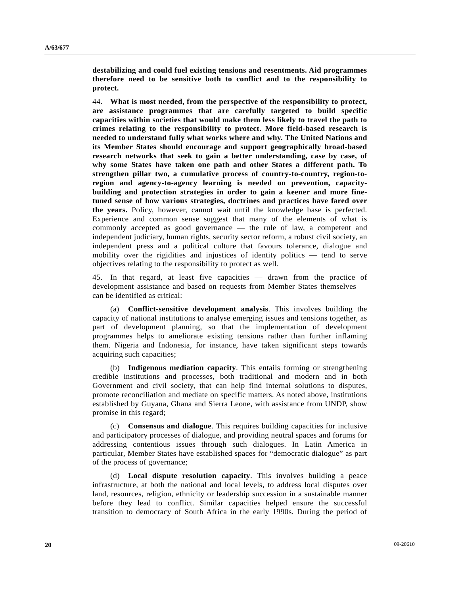**destabilizing and could fuel existing tensions and resentments. Aid programmes therefore need to be sensitive both to conflict and to the responsibility to protect.** 

44. **What is most needed, from the perspective of the responsibility to protect, are assistance programmes that are carefully targeted to build specific capacities within societies that would make them less likely to travel the path to crimes relating to the responsibility to protect. More field-based research is needed to understand fully what works where and why. The United Nations and its Member States should encourage and support geographically broad-based research networks that seek to gain a better understanding, case by case, of why some States have taken one path and other States a different path. To strengthen pillar two, a cumulative process of country-to-country, region-toregion and agency-to-agency learning is needed on prevention, capacitybuilding and protection strategies in order to gain a keener and more finetuned sense of how various strategies, doctrines and practices have fared over the years.** Policy, however, cannot wait until the knowledge base is perfected. Experience and common sense suggest that many of the elements of what is commonly accepted as good governance — the rule of law, a competent and independent judiciary, human rights, security sector reform, a robust civil society, an independent press and a political culture that favours tolerance, dialogue and mobility over the rigidities and injustices of identity politics — tend to serve objectives relating to the responsibility to protect as well.

45. In that regard, at least five capacities — drawn from the practice of development assistance and based on requests from Member States themselves can be identified as critical:

 (a) **Conflict-sensitive development analysis**. This involves building the capacity of national institutions to analyse emerging issues and tensions together, as part of development planning, so that the implementation of development programmes helps to ameliorate existing tensions rather than further inflaming them. Nigeria and Indonesia, for instance, have taken significant steps towards acquiring such capacities;

 (b) **Indigenous mediation capacity**. This entails forming or strengthening credible institutions and processes, both traditional and modern and in both Government and civil society, that can help find internal solutions to disputes, promote reconciliation and mediate on specific matters. As noted above, institutions established by Guyana, Ghana and Sierra Leone, with assistance from UNDP, show promise in this regard;

 (c) **Consensus and dialogue**. This requires building capacities for inclusive and participatory processes of dialogue, and providing neutral spaces and forums for addressing contentious issues through such dialogues. In Latin America in particular, Member States have established spaces for "democratic dialogue" as part of the process of governance;

 (d) **Local dispute resolution capacity**. This involves building a peace infrastructure, at both the national and local levels, to address local disputes over land, resources, religion, ethnicity or leadership succession in a sustainable manner before they lead to conflict. Similar capacities helped ensure the successful transition to democracy of South Africa in the early 1990s. During the period of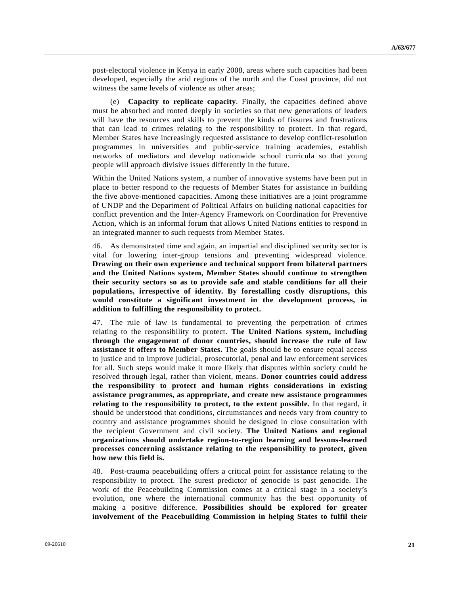post-electoral violence in Kenya in early 2008, areas where such capacities had been developed, especially the arid regions of the north and the Coast province, did not witness the same levels of violence as other areas;

 (e) **Capacity to replicate capacity**. Finally, the capacities defined above must be absorbed and rooted deeply in societies so that new generations of leaders will have the resources and skills to prevent the kinds of fissures and frustrations that can lead to crimes relating to the responsibility to protect. In that regard, Member States have increasingly requested assistance to develop conflict-resolution programmes in universities and public-service training academies, establish networks of mediators and develop nationwide school curricula so that young people will approach divisive issues differently in the future.

Within the United Nations system, a number of innovative systems have been put in place to better respond to the requests of Member States for assistance in building the five above-mentioned capacities. Among these initiatives are a joint programme of UNDP and the Department of Political Affairs on building national capacities for conflict prevention and the Inter-Agency Framework on Coordination for Preventive Action, which is an informal forum that allows United Nations entities to respond in an integrated manner to such requests from Member States.

46. As demonstrated time and again, an impartial and disciplined security sector is vital for lowering inter-group tensions and preventing widespread violence. **Drawing on their own experience and technical support from bilateral partners and the United Nations system, Member States should continue to strengthen their security sectors so as to provide safe and stable conditions for all their populations, irrespective of identity. By forestalling costly disruptions, this would constitute a significant investment in the development process, in addition to fulfilling the responsibility to protect.**

47. The rule of law is fundamental to preventing the perpetration of crimes relating to the responsibility to protect. **The United Nations system, including through the engagement of donor countries, should increase the rule of law assistance it offers to Member States.** The goals should be to ensure equal access to justice and to improve judicial, prosecutorial, penal and law enforcement services for all. Such steps would make it more likely that disputes within society could be resolved through legal, rather than violent, means. **Donor countries could address the responsibility to protect and human rights considerations in existing assistance programmes, as appropriate, and create new assistance programmes relating to the responsibility to protect, to the extent possible.** In that regard, it should be understood that conditions, circumstances and needs vary from country to country and assistance programmes should be designed in close consultation with the recipient Government and civil society. **The United Nations and regional organizations should undertake region-to-region learning and lessons-learned processes concerning assistance relating to the responsibility to protect, given how new this field is.** 

48. Post-trauma peacebuilding offers a critical point for assistance relating to the responsibility to protect. The surest predictor of genocide is past genocide. The work of the Peacebuilding Commission comes at a critical stage in a society's evolution, one where the international community has the best opportunity of making a positive difference. **Possibilities should be explored for greater involvement of the Peacebuilding Commission in helping States to fulfil their**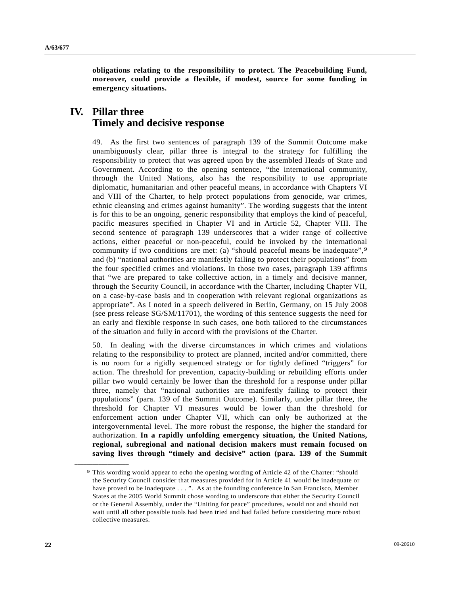**obligations relating to the responsibility to protect. The Peacebuilding Fund, moreover, could provide a flexible, if modest, source for some funding in emergency situations.** 

# **IV. Pillar three Timely and decisive response**

49. As the first two sentences of paragraph 139 of the Summit Outcome make unambiguously clear, pillar three is integral to the strategy for fulfilling the responsibility to protect that was agreed upon by the assembled Heads of State and Government. According to the opening sentence, "the international community, through the United Nations, also has the responsibility to use appropriate diplomatic, humanitarian and other peaceful means, in accordance with Chapters VI and VIII of the Charter, to help protect populations from genocide, war crimes, ethnic cleansing and crimes against humanity". The wording suggests that the intent is for this to be an ongoing, generic responsibility that employs the kind of peaceful, pacific measures specified in Chapter VI and in Article 52, Chapter VIII. The second sentence of paragraph 139 underscores that a wider range of collective actions, either peaceful or non-peaceful, could be invoked by the international community if two conditions are met: (a) "should peaceful means be inadequate",[9](#page-21-0) and (b) "national authorities are manifestly failing to protect their populations" from the four specified crimes and violations. In those two cases, paragraph 139 affirms that "we are prepared to take collective action, in a timely and decisive manner, through the Security Council, in accordance with the Charter, including Chapter VII, on a case-by-case basis and in cooperation with relevant regional organizations as appropriate". As I noted in a speech delivered in Berlin, Germany, on 15 July 2008 (see press release SG/SM/11701), the wording of this sentence suggests the need for an early and flexible response in such cases, one both tailored to the circumstances of the situation and fully in accord with the provisions of the Charter.

50. In dealing with the diverse circumstances in which crimes and violations relating to the responsibility to protect are planned, incited and/or committed, there is no room for a rigidly sequenced strategy or for tightly defined "triggers" for action. The threshold for prevention, capacity-building or rebuilding efforts under pillar two would certainly be lower than the threshold for a response under pillar three, namely that "national authorities are manifestly failing to protect their populations" (para. 139 of the Summit Outcome). Similarly, under pillar three, the threshold for Chapter VI measures would be lower than the threshold for enforcement action under Chapter VII, which can only be authorized at the intergovernmental level. The more robust the response, the higher the standard for authorization. **In a rapidly unfolding emergency situation, the United Nations, regional, subregional and national decision makers must remain focused on saving lives through "timely and decisive" action (para. 139 of the Summit** 

<span id="page-21-0"></span>**\_\_\_\_\_\_\_\_\_\_\_\_\_\_\_\_\_\_** 

<sup>9</sup> This wording would appear to echo the opening wording of Article 42 of the Charter: "should the Security Council consider that measures provided for in Article 41 would be inadequate or have proved to be inadequate . . . ". As at the founding conference in San Francisco, Member States at the 2005 World Summit chose wording to underscore that either the Security Council or the General Assembly, under the "Uniting for peace" procedures, would not and should not wait until all other possible tools had been tried and had failed before considering more robust collective measures.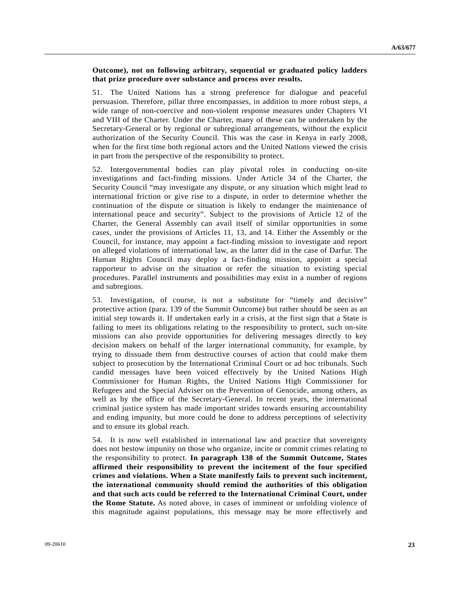#### **Outcome), not on following arbitrary, sequential or graduated policy ladders that prize procedure over substance and process over results.**

51. The United Nations has a strong preference for dialogue and peaceful persuasion. Therefore, pillar three encompasses, in addition to more robust steps, a wide range of non-coercive and non-violent response measures under Chapters VI and VIII of the Charter. Under the Charter, many of these can be undertaken by the Secretary-General or by regional or subregional arrangements, without the explicit authorization of the Security Council. This was the case in Kenya in early 2008, when for the first time both regional actors and the United Nations viewed the crisis in part from the perspective of the responsibility to protect.

52. Intergovernmental bodies can play pivotal roles in conducting on-site investigations and fact-finding missions. Under Article 34 of the Charter, the Security Council "may investigate any dispute, or any situation which might lead to international friction or give rise to a dispute, in order to determine whether the continuation of the dispute or situation is likely to endanger the maintenance of international peace and security". Subject to the provisions of Article 12 of the Charter, the General Assembly can avail itself of similar opportunities in some cases, under the provisions of Articles 11, 13, and 14. Either the Assembly or the Council, for instance, may appoint a fact-finding mission to investigate and report on alleged violations of international law, as the latter did in the case of Darfur. The Human Rights Council may deploy a fact-finding mission, appoint a special rapporteur to advise on the situation or refer the situation to existing special procedures. Parallel instruments and possibilities may exist in a number of regions and subregions.

53. Investigation, of course, is not a substitute for "timely and decisive" protective action (para. 139 of the Summit Outcome) but rather should be seen as an initial step towards it. If undertaken early in a crisis, at the first sign that a State is failing to meet its obligations relating to the responsibility to protect, such on-site missions can also provide opportunities for delivering messages directly to key decision makers on behalf of the larger international community, for example, by trying to dissuade them from destructive courses of action that could make them subject to prosecution by the International Criminal Court or ad hoc tribunals. Such candid messages have been voiced effectively by the United Nations High Commissioner for Human Rights, the United Nations High Commissioner for Refugees and the Special Adviser on the Prevention of Genocide, among others, as well as by the office of the Secretary-General. In recent years, the international criminal justice system has made important strides towards ensuring accountability and ending impunity, but more could be done to address perceptions of selectivity and to ensure its global reach.

54. It is now well established in international law and practice that sovereignty does not bestow impunity on those who organize, incite or commit crimes relating to the responsibility to protect. **In paragraph 138 of the Summit Outcome, States affirmed their responsibility to prevent the incitement of the four specified crimes and violations. When a State manifestly fails to prevent such incitement, the international community should remind the authorities of this obligation and that such acts could be referred to the International Criminal Court, under the Rome Statute.** As noted above, in cases of imminent or unfolding violence of this magnitude against populations, this message may be more effectively and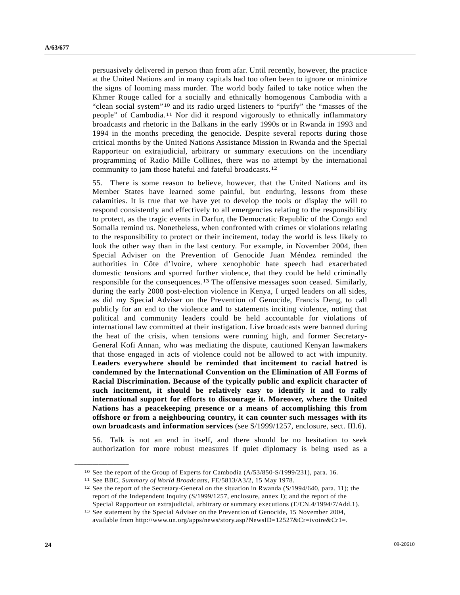persuasively delivered in person than from afar. Until recently, however, the practice at the United Nations and in many capitals had too often been to ignore or minimize the signs of looming mass murder. The world body failed to take notice when the Khmer Rouge called for a socially and ethnically homogenous Cambodia with a "clean social system"[1](#page-23-0)0 and its radio urged listeners to "purify" the "masses of the people" of Cambodia.[1](#page-23-1)1 Nor did it respond vigorously to ethnically inflammatory broadcasts and rhetoric in the Balkans in the early 1990s or in Rwanda in 1993 and 1994 in the months preceding the genocide. Despite several reports during those critical months by the United Nations Assistance Mission in Rwanda and the Special Rapporteur on extrajudicial, arbitrary or summary executions on the incendiary programming of Radio Mille Collines, there was no attempt by the international community to jam those hateful and fateful broadcasts.[12](#page-23-2)

55. There is some reason to believe, however, that the United Nations and its Member States have learned some painful, but enduring, lessons from these calamities. It is true that we have yet to develop the tools or display the will to respond consistently and effectively to all emergencies relating to the responsibility to protect, as the tragic events in Darfur, the Democratic Republic of the Congo and Somalia remind us. Nonetheless, when confronted with crimes or violations relating to the responsibility to protect or their incitement, today the world is less likely to look the other way than in the last century. For example, in November 2004, then Special Adviser on the Prevention of Genocide Juan Méndez reminded the authorities in Côte d'Ivoire, where xenophobic hate speech had exacerbated domestic tensions and spurred further violence, that they could be held criminally responsible for the consequences.[1](#page-23-3)3 The offensive messages soon ceased. Similarly, during the early 2008 post-election violence in Kenya, I urged leaders on all sides, as did my Special Adviser on the Prevention of Genocide, Francis Deng, to call publicly for an end to the violence and to statements inciting violence, noting that political and community leaders could be held accountable for violations of international law committed at their instigation. Live broadcasts were banned during the heat of the crisis, when tensions were running high, and former Secretary-General Kofi Annan, who was mediating the dispute, cautioned Kenyan lawmakers that those engaged in acts of violence could not be allowed to act with impunity. **Leaders everywhere should be reminded that incitement to racial hatred is condemned by the International Convention on the Elimination of All Forms of Racial Discrimination. Because of the typically public and explicit character of such incitement, it should be relatively easy to identify it and to rally international support for efforts to discourage it. Moreover, where the United Nations has a peacekeeping presence or a means of accomplishing this from offshore or from a neighbouring country, it can counter such messages with its own broadcasts and information services** (see S/1999/1257, enclosure, sect. III.6).

56. Talk is not an end in itself, and there should be no hesitation to seek authorization for more robust measures if quiet diplomacy is being used as a

<span id="page-23-2"></span><span id="page-23-1"></span><span id="page-23-0"></span>**\_\_\_\_\_\_\_\_\_\_\_\_\_\_\_\_\_\_** 

<sup>&</sup>lt;sup>10</sup> See the report of the Group of Experts for Cambodia (A/53/850-S/1999/231), para. 16.<br><sup>11</sup> See BBC, *Summary of World Broadcasts*, FE/5813/A3/2, 15 May 1978.<br><sup>12</sup> See the report of the Secretary-General on the situatio report of the Independent Inquiry (S/1999/1257, enclosure, annex I); and the report of the Special Rapporteur on extrajudicial, arbitrary or summary executions (E/CN.4/1994/7/Add.1).

<span id="page-23-3"></span><sup>13</sup> See statement by the Special Adviser on the Prevention of Genocide, 15 November 2004, available from http://www.un.org/apps/news/story.asp?NewsID=12527&Cr=ivoire&Cr1=.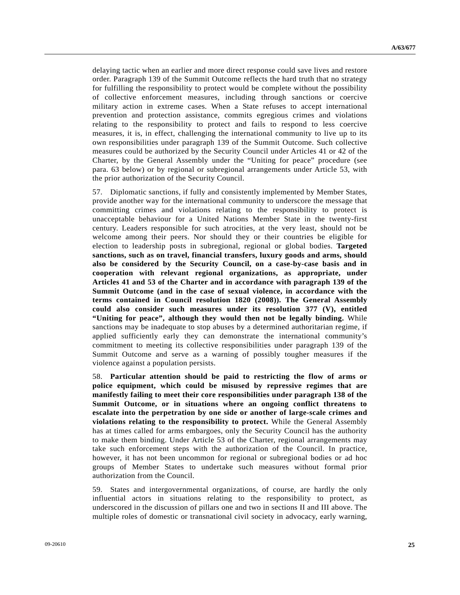delaying tactic when an earlier and more direct response could save lives and restore order. Paragraph 139 of the Summit Outcome reflects the hard truth that no strategy for fulfilling the responsibility to protect would be complete without the possibility of collective enforcement measures, including through sanctions or coercive military action in extreme cases. When a State refuses to accept international prevention and protection assistance, commits egregious crimes and violations relating to the responsibility to protect and fails to respond to less coercive measures, it is, in effect, challenging the international community to live up to its own responsibilities under paragraph 139 of the Summit Outcome. Such collective measures could be authorized by the Security Council under Articles 41 or 42 of the Charter, by the General Assembly under the "Uniting for peace" procedure (see para. 63 below) or by regional or subregional arrangements under Article 53, with the prior authorization of the Security Council.

57. Diplomatic sanctions, if fully and consistently implemented by Member States, provide another way for the international community to underscore the message that committing crimes and violations relating to the responsibility to protect is unacceptable behaviour for a United Nations Member State in the twenty-first century. Leaders responsible for such atrocities, at the very least, should not be welcome among their peers. Nor should they or their countries be eligible for election to leadership posts in subregional, regional or global bodies. **Targeted sanctions, such as on travel, financial transfers, luxury goods and arms, should also be considered by the Security Council, on a case-by-case basis and in cooperation with relevant regional organizations, as appropriate, under Articles 41 and 53 of the Charter and in accordance with paragraph 139 of the Summit Outcome (and in the case of sexual violence, in accordance with the terms contained in Council resolution 1820 (2008)). The General Assembly could also consider such measures under its resolution 377 (V), entitled "Uniting for peace", although they would then not be legally binding.** While sanctions may be inadequate to stop abuses by a determined authoritarian regime, if applied sufficiently early they can demonstrate the international community's commitment to meeting its collective responsibilities under paragraph 139 of the Summit Outcome and serve as a warning of possibly tougher measures if the violence against a population persists.

58. **Particular attention should be paid to restricting the flow of arms or police equipment, which could be misused by repressive regimes that are manifestly failing to meet their core responsibilities under paragraph 138 of the Summit Outcome, or in situations where an ongoing conflict threatens to escalate into the perpetration by one side or another of large-scale crimes and violations relating to the responsibility to protect.** While the General Assembly has at times called for arms embargoes, only the Security Council has the authority to make them binding. Under Article 53 of the Charter, regional arrangements may take such enforcement steps with the authorization of the Council. In practice, however, it has not been uncommon for regional or subregional bodies or ad hoc groups of Member States to undertake such measures without formal prior authorization from the Council.

59. States and intergovernmental organizations, of course, are hardly the only influential actors in situations relating to the responsibility to protect, as underscored in the discussion of pillars one and two in sections II and III above. The multiple roles of domestic or transnational civil society in advocacy, early warning,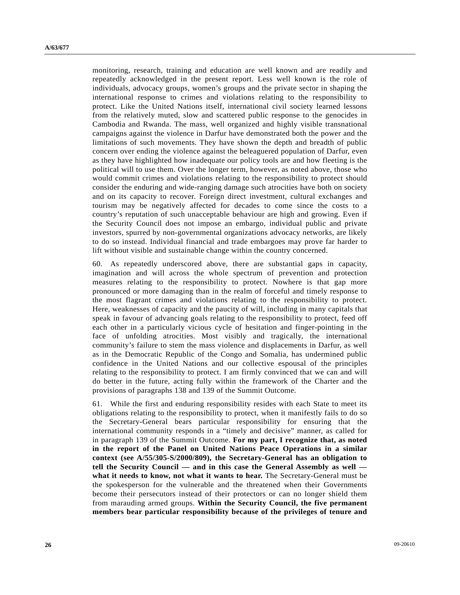monitoring, research, training and education are well known and are readily and repeatedly acknowledged in the present report. Less well known is the role of individuals, advocacy groups, women's groups and the private sector in shaping the international response to crimes and violations relating to the responsibility to protect. Like the United Nations itself, international civil society learned lessons from the relatively muted, slow and scattered public response to the genocides in Cambodia and Rwanda. The mass, well organized and highly visible transnational campaigns against the violence in Darfur have demonstrated both the power and the limitations of such movements. They have shown the depth and breadth of public concern over ending the violence against the beleaguered population of Darfur, even as they have highlighted how inadequate our policy tools are and how fleeting is the political will to use them. Over the longer term, however, as noted above, those who would commit crimes and violations relating to the responsibility to protect should consider the enduring and wide-ranging damage such atrocities have both on society and on its capacity to recover. Foreign direct investment, cultural exchanges and tourism may be negatively affected for decades to come since the costs to a country's reputation of such unacceptable behaviour are high and growing. Even if the Security Council does not impose an embargo, individual public and private investors, spurred by non-governmental organizations advocacy networks, are likely to do so instead. Individual financial and trade embargoes may prove far harder to lift without visible and sustainable change within the country concerned.

60. As repeatedly underscored above, there are substantial gaps in capacity, imagination and will across the whole spectrum of prevention and protection measures relating to the responsibility to protect. Nowhere is that gap more pronounced or more damaging than in the realm of forceful and timely response to the most flagrant crimes and violations relating to the responsibility to protect. Here, weaknesses of capacity and the paucity of will, including in many capitals that speak in favour of advancing goals relating to the responsibility to protect, feed off each other in a particularly vicious cycle of hesitation and finger-pointing in the face of unfolding atrocities. Most visibly and tragically, the international community's failure to stem the mass violence and displacements in Darfur, as well as in the Democratic Republic of the Congo and Somalia, has undermined public confidence in the United Nations and our collective espousal of the principles relating to the responsibility to protect. I am firmly convinced that we can and will do better in the future, acting fully within the framework of the Charter and the provisions of paragraphs 138 and 139 of the Summit Outcome.

61. While the first and enduring responsibility resides with each State to meet its obligations relating to the responsibility to protect, when it manifestly fails to do so the Secretary-General bears particular responsibility for ensuring that the international community responds in a "timely and decisive" manner, as called for in paragraph 139 of the Summit Outcome. **For my part, I recognize that, as noted in the report of the Panel on United Nations Peace Operations in a similar context (see A/55/305-S/2000/809), the Secretary-General has an obligation to tell the Security Council — and in this case the General Assembly as well what it needs to know, not what it wants to hear.** The Secretary-General must be the spokesperson for the vulnerable and the threatened when their Governments become their persecutors instead of their protectors or can no longer shield them from marauding armed groups. **Within the Security Council, the five permanent members bear particular responsibility because of the privileges of tenure and**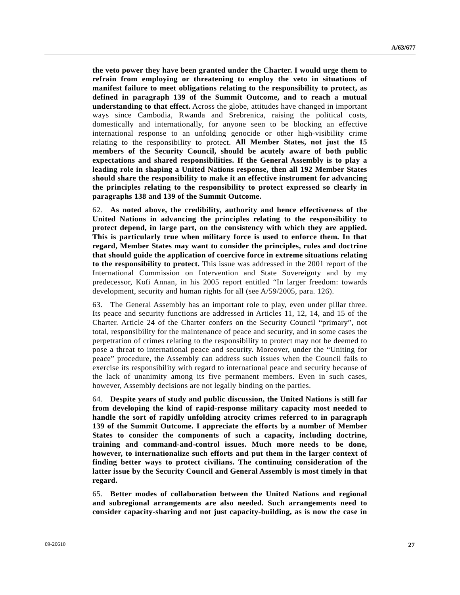**the veto power they have been granted under the Charter. I would urge them to refrain from employing or threatening to employ the veto in situations of manifest failure to meet obligations relating to the responsibility to protect, as defined in paragraph 139 of the Summit Outcome, and to reach a mutual understanding to that effect.** Across the globe, attitudes have changed in important ways since Cambodia, Rwanda and Srebrenica, raising the political costs, domestically and internationally, for anyone seen to be blocking an effective international response to an unfolding genocide or other high-visibility crime relating to the responsibility to protect. **All Member States, not just the 15 members of the Security Council, should be acutely aware of both public expectations and shared responsibilities. If the General Assembly is to play a leading role in shaping a United Nations response, then all 192 Member States should share the responsibility to make it an effective instrument for advancing the principles relating to the responsibility to protect expressed so clearly in paragraphs 138 and 139 of the Summit Outcome.** 

62. **As noted above, the credibility, authority and hence effectiveness of the United Nations in advancing the principles relating to the responsibility to protect depend, in large part, on the consistency with which they are applied. This is particularly true when military force is used to enforce them. In that regard, Member States may want to consider the principles, rules and doctrine that should guide the application of coercive force in extreme situations relating to the responsibility to protect.** This issue was addressed in the 2001 report of the International Commission on Intervention and State Sovereignty and by my predecessor, Kofi Annan, in his 2005 report entitled "In larger freedom: towards development, security and human rights for all (see A/59/2005, para. 126).

63. The General Assembly has an important role to play, even under pillar three. Its peace and security functions are addressed in Articles 11, 12, 14, and 15 of the Charter. Article 24 of the Charter confers on the Security Council "primary", not total, responsibility for the maintenance of peace and security, and in some cases the perpetration of crimes relating to the responsibility to protect may not be deemed to pose a threat to international peace and security. Moreover, under the "Uniting for peace" procedure, the Assembly can address such issues when the Council fails to exercise its responsibility with regard to international peace and security because of the lack of unanimity among its five permanent members. Even in such cases, however, Assembly decisions are not legally binding on the parties.

64. **Despite years of study and public discussion, the United Nations is still far from developing the kind of rapid-response military capacity most needed to handle the sort of rapidly unfolding atrocity crimes referred to in paragraph 139 of the Summit Outcome. I appreciate the efforts by a number of Member States to consider the components of such a capacity, including doctrine, training and command-and-control issues. Much more needs to be done, however, to internationalize such efforts and put them in the larger context of finding better ways to protect civilians. The continuing consideration of the latter issue by the Security Council and General Assembly is most timely in that regard.**

65. **Better modes of collaboration between the United Nations and regional and subregional arrangements are also needed. Such arrangements need to consider capacity-sharing and not just capacity-building, as is now the case in**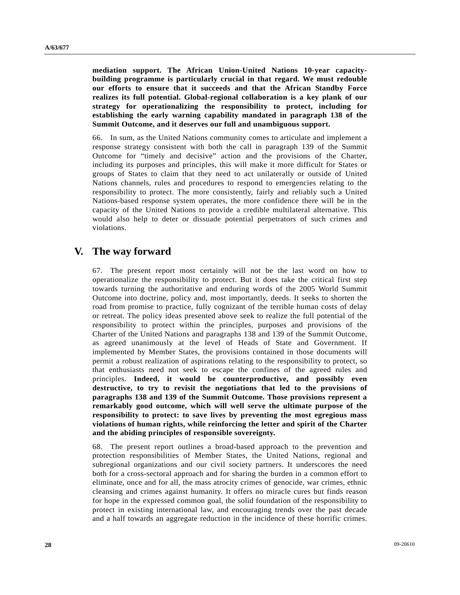**mediation support. The African Union-United Nations 10-year capacitybuilding programme is particularly crucial in that regard. We must redouble our efforts to ensure that it succeeds and that the African Standby Force realizes its full potential. Global-regional collaboration is a key plank of our strategy for operationalizing the responsibility to protect, including for establishing the early warning capability mandated in paragraph 138 of the Summit Outcome, and it deserves our full and unambiguous support.**

66. In sum, as the United Nations community comes to articulate and implement a response strategy consistent with both the call in paragraph 139 of the Summit Outcome for "timely and decisive" action and the provisions of the Charter, including its purposes and principles, this will make it more difficult for States or groups of States to claim that they need to act unilaterally or outside of United Nations channels, rules and procedures to respond to emergencies relating to the responsibility to protect. The more consistently, fairly and reliably such a United Nations-based response system operates, the more confidence there will be in the capacity of the United Nations to provide a credible multilateral alternative. This would also help to deter or dissuade potential perpetrators of such crimes and violations.

# **V. The way forward**

67. The present report most certainly will not be the last word on how to operationalize the responsibility to protect. But it does take the critical first step towards turning the authoritative and enduring words of the 2005 World Summit Outcome into doctrine, policy and, most importantly, deeds. It seeks to shorten the road from promise to practice, fully cognizant of the terrible human costs of delay or retreat. The policy ideas presented above seek to realize the full potential of the responsibility to protect within the principles, purposes and provisions of the Charter of the United Nations and paragraphs 138 and 139 of the Summit Outcome, as agreed unanimously at the level of Heads of State and Government. If implemented by Member States, the provisions contained in those documents will permit a robust realization of aspirations relating to the responsibility to protect, so that enthusiasts need not seek to escape the confines of the agreed rules and principles. **Indeed, it would be counterproductive, and possibly even destructive, to try to revisit the negotiations that led to the provisions of paragraphs 138 and 139 of the Summit Outcome. Those provisions represent a remarkably good outcome, which will well serve the ultimate purpose of the responsibility to protect: to save lives by preventing the most egregious mass violations of human rights, while reinforcing the letter and spirit of the Charter and the abiding principles of responsible sovereignty.** 

68. The present report outlines a broad-based approach to the prevention and protection responsibilities of Member States, the United Nations, regional and subregional organizations and our civil society partners. It underscores the need both for a cross-sectoral approach and for sharing the burden in a common effort to eliminate, once and for all, the mass atrocity crimes of genocide, war crimes, ethnic cleansing and crimes against humanity. It offers no miracle cures but finds reason for hope in the expressed common goal, the solid foundation of the responsibility to protect in existing international law, and encouraging trends over the past decade and a half towards an aggregate reduction in the incidence of these horrific crimes.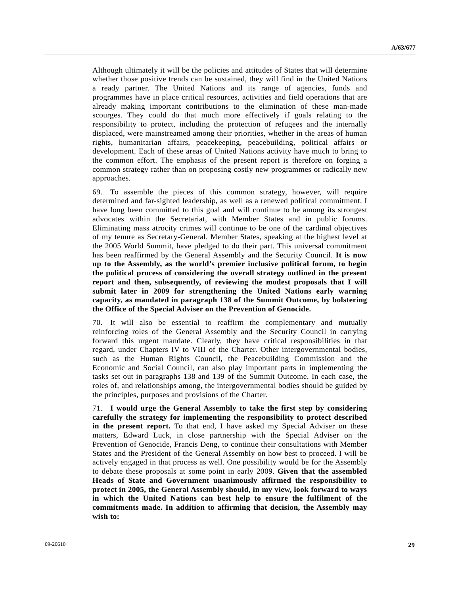Although ultimately it will be the policies and attitudes of States that will determine whether those positive trends can be sustained, they will find in the United Nations a ready partner. The United Nations and its range of agencies, funds and programmes have in place critical resources, activities and field operations that are already making important contributions to the elimination of these man-made scourges. They could do that much more effectively if goals relating to the responsibility to protect, including the protection of refugees and the internally displaced, were mainstreamed among their priorities, whether in the areas of human rights, humanitarian affairs, peacekeeping, peacebuilding, political affairs or development. Each of these areas of United Nations activity have much to bring to the common effort. The emphasis of the present report is therefore on forging a common strategy rather than on proposing costly new programmes or radically new approaches.

69. To assemble the pieces of this common strategy, however, will require determined and far-sighted leadership, as well as a renewed political commitment. I have long been committed to this goal and will continue to be among its strongest advocates within the Secretariat, with Member States and in public forums. Eliminating mass atrocity crimes will continue to be one of the cardinal objectives of my tenure as Secretary-General. Member States, speaking at the highest level at the 2005 World Summit, have pledged to do their part. This universal commitment has been reaffirmed by the General Assembly and the Security Council. **It is now up to the Assembly, as the world's premier inclusive political forum, to begin the political process of considering the overall strategy outlined in the present report and then, subsequently, of reviewing the modest proposals that I will submit later in 2009 for strengthening the United Nations early warning capacity, as mandated in paragraph 138 of the Summit Outcome, by bolstering the Office of the Special Adviser on the Prevention of Genocide.** 

70. It will also be essential to reaffirm the complementary and mutually reinforcing roles of the General Assembly and the Security Council in carrying forward this urgent mandate. Clearly, they have critical responsibilities in that regard, under Chapters IV to VIII of the Charter. Other intergovernmental bodies, such as the Human Rights Council, the Peacebuilding Commission and the Economic and Social Council, can also play important parts in implementing the tasks set out in paragraphs 138 and 139 of the Summit Outcome. In each case, the roles of, and relationships among, the intergovernmental bodies should be guided by the principles, purposes and provisions of the Charter.

71. **I would urge the General Assembly to take the first step by considering carefully the strategy for implementing the responsibility to protect described in the present report.** To that end, I have asked my Special Adviser on these matters, Edward Luck, in close partnership with the Special Adviser on the Prevention of Genocide, Francis Deng, to continue their consultations with Member States and the President of the General Assembly on how best to proceed. I will be actively engaged in that process as well. One possibility would be for the Assembly to debate these proposals at some point in early 2009. **Given that the assembled Heads of State and Government unanimously affirmed the responsibility to protect in 2005, the General Assembly should, in my view, look forward to ways in which the United Nations can best help to ensure the fulfilment of the commitments made. In addition to affirming that decision, the Assembly may wish to:**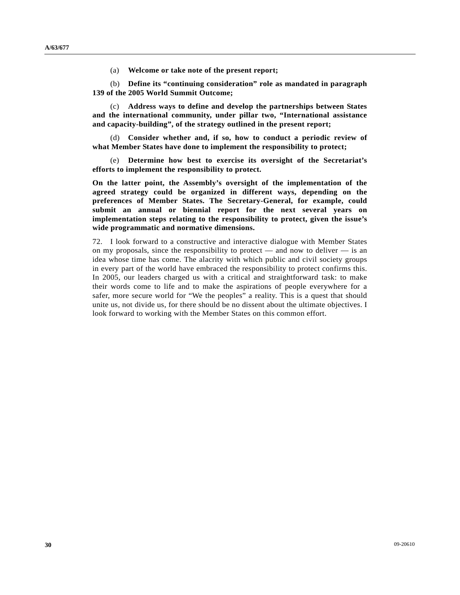(a) **Welcome or take note of the present report;**

 (b) **Define its "continuing consideration" role as mandated in paragraph 139 of the 2005 World Summit Outcome;** 

 (c) **Address ways to define and develop the partnerships between States and the international community, under pillar two, "International assistance and capacity-building", of the strategy outlined in the present report;**

 (d) **Consider whether and, if so, how to conduct a periodic review of what Member States have done to implement the responsibility to protect;**

 (e) **Determine how best to exercise its oversight of the Secretariat's efforts to implement the responsibility to protect.**

**On the latter point, the Assembly's oversight of the implementation of the agreed strategy could be organized in different ways, depending on the preferences of Member States. The Secretary-General, for example, could submit an annual or biennial report for the next several years on implementation steps relating to the responsibility to protect, given the issue's wide programmatic and normative dimensions.** 

72. I look forward to a constructive and interactive dialogue with Member States on my proposals, since the responsibility to protect — and now to deliver — is an idea whose time has come. The alacrity with which public and civil society groups in every part of the world have embraced the responsibility to protect confirms this. In 2005, our leaders charged us with a critical and straightforward task: to make their words come to life and to make the aspirations of people everywhere for a safer, more secure world for "We the peoples" a reality. This is a quest that should unite us, not divide us, for there should be no dissent about the ultimate objectives. I look forward to working with the Member States on this common effort.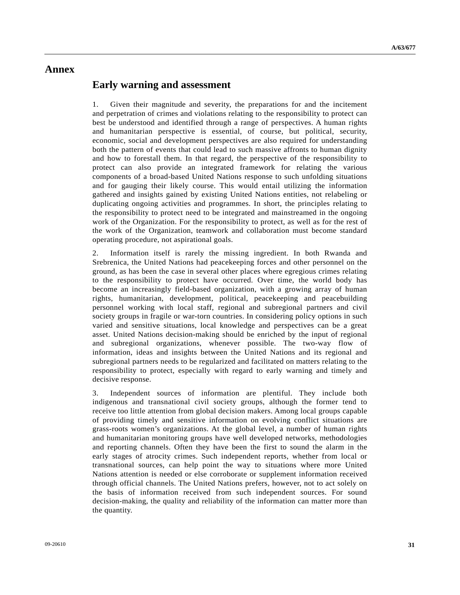## **Annex**

### **Early warning and assessment**

1. Given their magnitude and severity, the preparations for and the incitement and perpetration of crimes and violations relating to the responsibility to protect can best be understood and identified through a range of perspectives. A human rights and humanitarian perspective is essential, of course, but political, security, economic, social and development perspectives are also required for understanding both the pattern of events that could lead to such massive affronts to human dignity and how to forestall them. In that regard, the perspective of the responsibility to protect can also provide an integrated framework for relating the various components of a broad-based United Nations response to such unfolding situations and for gauging their likely course. This would entail utilizing the information gathered and insights gained by existing United Nations entities, not relabeling or duplicating ongoing activities and programmes. In short, the principles relating to the responsibility to protect need to be integrated and mainstreamed in the ongoing work of the Organization. For the responsibility to protect, as well as for the rest of the work of the Organization, teamwork and collaboration must become standard operating procedure, not aspirational goals.

2. Information itself is rarely the missing ingredient. In both Rwanda and Srebrenica, the United Nations had peacekeeping forces and other personnel on the ground, as has been the case in several other places where egregious crimes relating to the responsibility to protect have occurred. Over time, the world body has become an increasingly field-based organization, with a growing array of human rights, humanitarian, development, political, peacekeeping and peacebuilding personnel working with local staff, regional and subregional partners and civil society groups in fragile or war-torn countries. In considering policy options in such varied and sensitive situations, local knowledge and perspectives can be a great asset. United Nations decision-making should be enriched by the input of regional and subregional organizations, whenever possible. The two-way flow of information, ideas and insights between the United Nations and its regional and subregional partners needs to be regularized and facilitated on matters relating to the responsibility to protect, especially with regard to early warning and timely and decisive response.

3. Independent sources of information are plentiful. They include both indigenous and transnational civil society groups, although the former tend to receive too little attention from global decision makers. Among local groups capable of providing timely and sensitive information on evolving conflict situations are grass-roots women's organizations. At the global level, a number of human rights and humanitarian monitoring groups have well developed networks, methodologies and reporting channels. Often they have been the first to sound the alarm in the early stages of atrocity crimes. Such independent reports, whether from local or transnational sources, can help point the way to situations where more United Nations attention is needed or else corroborate or supplement information received through official channels. The United Nations prefers, however, not to act solely on the basis of information received from such independent sources. For sound decision-making, the quality and reliability of the information can matter more than the quantity.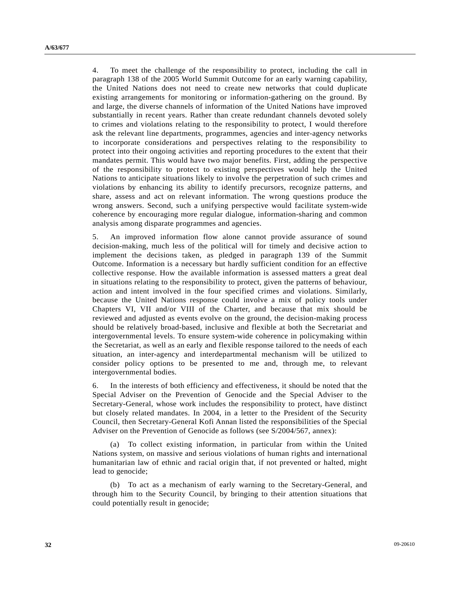4. To meet the challenge of the responsibility to protect, including the call in paragraph 138 of the 2005 World Summit Outcome for an early warning capability, the United Nations does not need to create new networks that could duplicate existing arrangements for monitoring or information-gathering on the ground. By and large, the diverse channels of information of the United Nations have improved substantially in recent years. Rather than create redundant channels devoted solely to crimes and violations relating to the responsibility to protect, I would therefore ask the relevant line departments, programmes, agencies and inter-agency networks to incorporate considerations and perspectives relating to the responsibility to protect into their ongoing activities and reporting procedures to the extent that their mandates permit. This would have two major benefits. First, adding the perspective of the responsibility to protect to existing perspectives would help the United Nations to anticipate situations likely to involve the perpetration of such crimes and violations by enhancing its ability to identify precursors, recognize patterns, and share, assess and act on relevant information. The wrong questions produce the wrong answers. Second, such a unifying perspective would facilitate system-wide coherence by encouraging more regular dialogue, information-sharing and common analysis among disparate programmes and agencies.

5. An improved information flow alone cannot provide assurance of sound decision-making, much less of the political will for timely and decisive action to implement the decisions taken, as pledged in paragraph 139 of the Summit Outcome. Information is a necessary but hardly sufficient condition for an effective collective response. How the available information is assessed matters a great deal in situations relating to the responsibility to protect, given the patterns of behaviour, action and intent involved in the four specified crimes and violations. Similarly, because the United Nations response could involve a mix of policy tools under Chapters VI, VII and/or VIII of the Charter, and because that mix should be reviewed and adjusted as events evolve on the ground, the decision-making process should be relatively broad-based, inclusive and flexible at both the Secretariat and intergovernmental levels. To ensure system-wide coherence in policymaking within the Secretariat, as well as an early and flexible response tailored to the needs of each situation, an inter-agency and interdepartmental mechanism will be utilized to consider policy options to be presented to me and, through me, to relevant intergovernmental bodies.

6. In the interests of both efficiency and effectiveness, it should be noted that the Special Adviser on the Prevention of Genocide and the Special Adviser to the Secretary-General, whose work includes the responsibility to protect, have distinct but closely related mandates. In 2004, in a letter to the President of the Security Council, then Secretary-General Kofi Annan listed the responsibilities of the Special Adviser on the Prevention of Genocide as follows (see S/2004/567, annex):

 (a) To collect existing information, in particular from within the United Nations system, on massive and serious violations of human rights and international humanitarian law of ethnic and racial origin that, if not prevented or halted, might lead to genocide;

 (b) To act as a mechanism of early warning to the Secretary-General, and through him to the Security Council, by bringing to their attention situations that could potentially result in genocide;